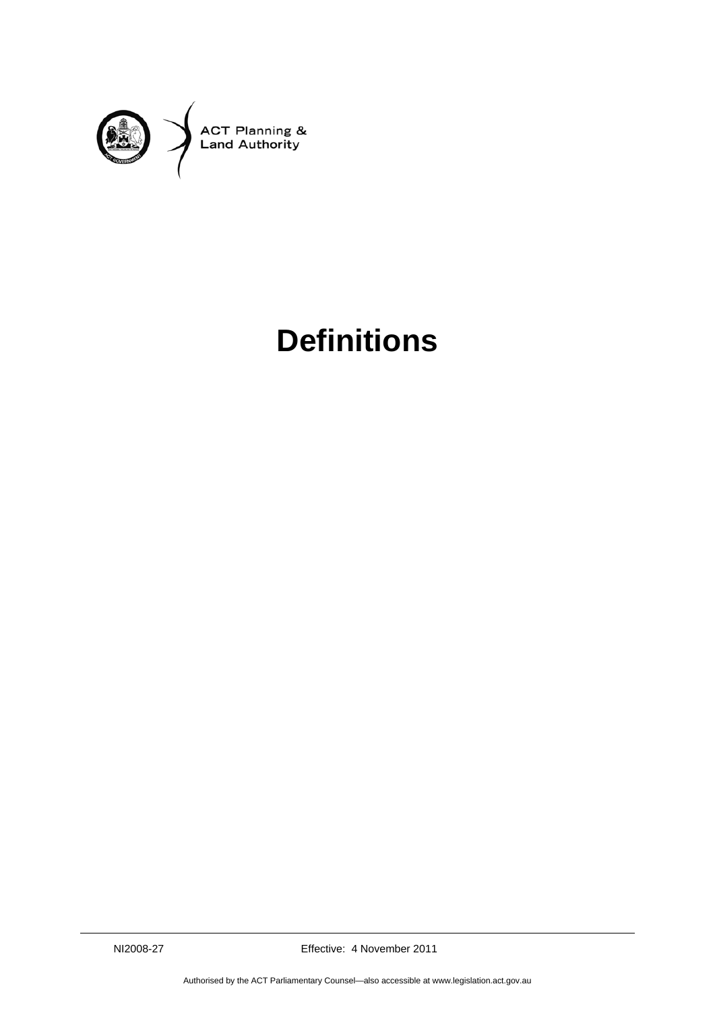

## **Definitions**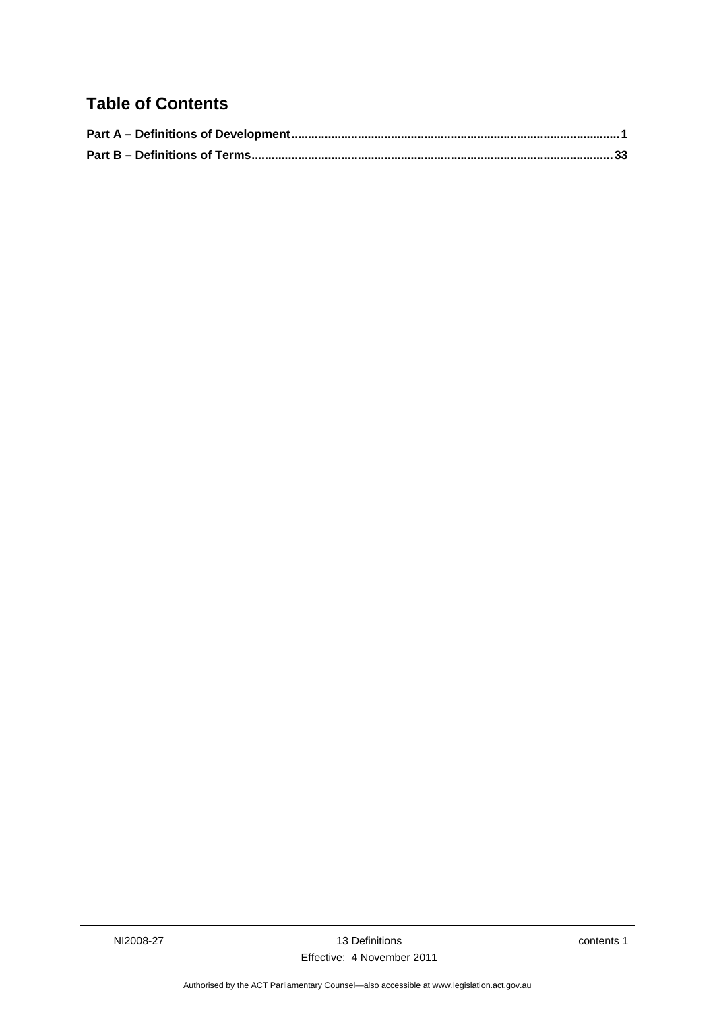## **Table of Contents**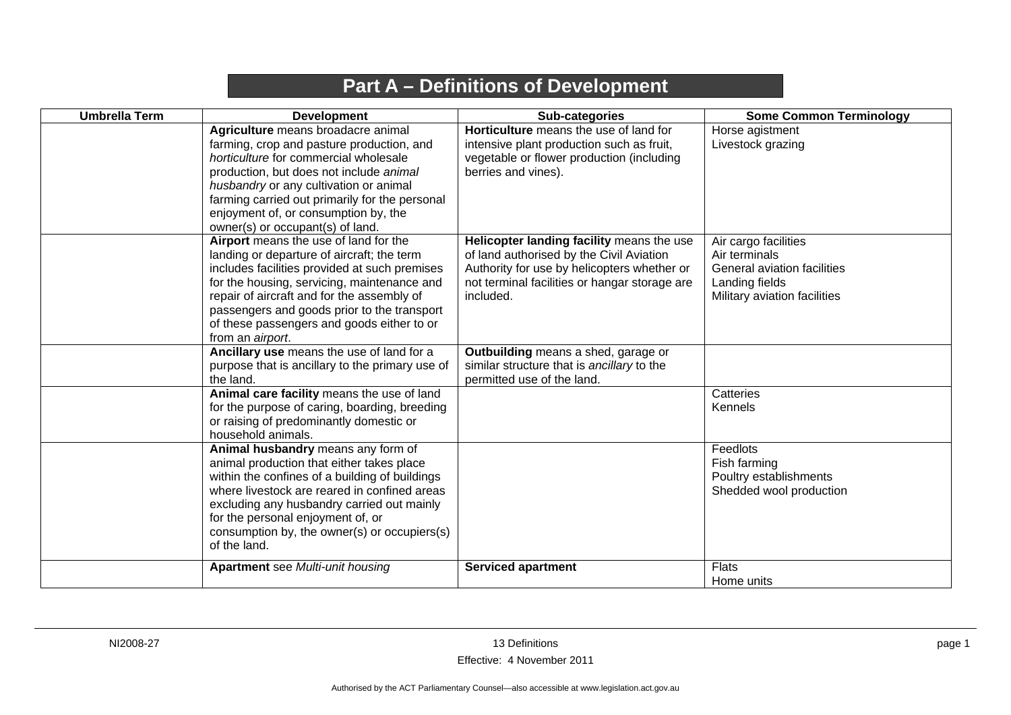## **Part A – Definitions of Development**

<span id="page-4-0"></span>

| <b>Umbrella Term</b> | <b>Development</b>                                                                                                                                                                                                                                                                                                                                 | Sub-categories                                                                                                                                                                                     | <b>Some Common Terminology</b>                                                                                         |
|----------------------|----------------------------------------------------------------------------------------------------------------------------------------------------------------------------------------------------------------------------------------------------------------------------------------------------------------------------------------------------|----------------------------------------------------------------------------------------------------------------------------------------------------------------------------------------------------|------------------------------------------------------------------------------------------------------------------------|
|                      | Agriculture means broadacre animal<br>farming, crop and pasture production, and<br>horticulture for commercial wholesale<br>production, but does not include animal<br>husbandry or any cultivation or animal<br>farming carried out primarily for the personal<br>enjoyment of, or consumption by, the<br>owner(s) or occupant(s) of land.        | Horticulture means the use of land for<br>intensive plant production such as fruit,<br>vegetable or flower production (including<br>berries and vines).                                            | Horse agistment<br>Livestock grazing                                                                                   |
|                      | Airport means the use of land for the<br>landing or departure of aircraft; the term<br>includes facilities provided at such premises<br>for the housing, servicing, maintenance and<br>repair of aircraft and for the assembly of<br>passengers and goods prior to the transport<br>of these passengers and goods either to or<br>from an airport. | Helicopter landing facility means the use<br>of land authorised by the Civil Aviation<br>Authority for use by helicopters whether or<br>not terminal facilities or hangar storage are<br>included. | Air cargo facilities<br>Air terminals<br>General aviation facilities<br>Landing fields<br>Military aviation facilities |
|                      | Ancillary use means the use of land for a<br>purpose that is ancillary to the primary use of<br>the land.                                                                                                                                                                                                                                          | Outbuilding means a shed, garage or<br>similar structure that is ancillary to the<br>permitted use of the land.                                                                                    |                                                                                                                        |
|                      | Animal care facility means the use of land<br>for the purpose of caring, boarding, breeding<br>or raising of predominantly domestic or<br>household animals.                                                                                                                                                                                       |                                                                                                                                                                                                    | Catteries<br>Kennels                                                                                                   |
|                      | Animal husbandry means any form of<br>animal production that either takes place<br>within the confines of a building of buildings<br>where livestock are reared in confined areas<br>excluding any husbandry carried out mainly<br>for the personal enjoyment of, or<br>consumption by, the owner(s) or occupiers(s)<br>of the land.               |                                                                                                                                                                                                    | Feedlots<br>Fish farming<br>Poultry establishments<br>Shedded wool production                                          |
|                      | <b>Apartment</b> see Multi-unit housing                                                                                                                                                                                                                                                                                                            | <b>Serviced apartment</b>                                                                                                                                                                          | <b>Flats</b><br>Home units                                                                                             |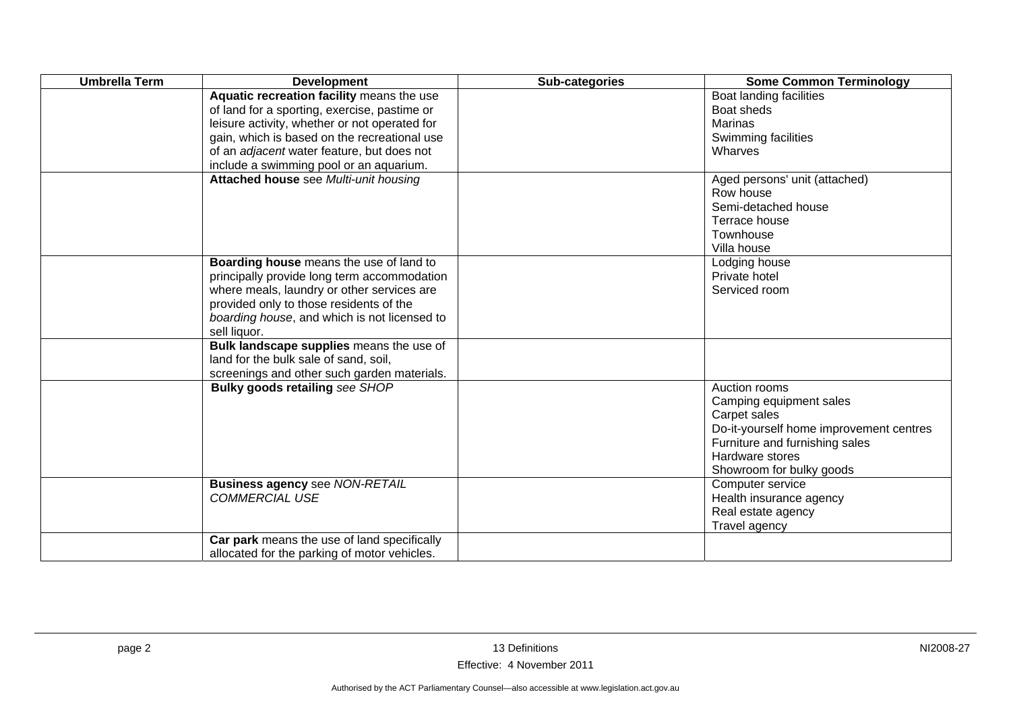| <b>Umbrella Term</b> | <b>Development</b>                            | Sub-categories | <b>Some Common Terminology</b>          |
|----------------------|-----------------------------------------------|----------------|-----------------------------------------|
|                      | Aquatic recreation facility means the use     |                | Boat landing facilities                 |
|                      | of land for a sporting, exercise, pastime or  |                | Boat sheds                              |
|                      | leisure activity, whether or not operated for |                | Marinas                                 |
|                      | gain, which is based on the recreational use  |                | Swimming facilities                     |
|                      | of an adjacent water feature, but does not    |                | Wharves                                 |
|                      | include a swimming pool or an aquarium.       |                |                                         |
|                      | Attached house see Multi-unit housing         |                | Aged persons' unit (attached)           |
|                      |                                               |                | Row house                               |
|                      |                                               |                | Semi-detached house                     |
|                      |                                               |                | Terrace house                           |
|                      |                                               |                | Townhouse                               |
|                      |                                               |                | Villa house                             |
|                      | Boarding house means the use of land to       |                | Lodging house                           |
|                      | principally provide long term accommodation   |                | Private hotel                           |
|                      | where meals, laundry or other services are    |                | Serviced room                           |
|                      | provided only to those residents of the       |                |                                         |
|                      | boarding house, and which is not licensed to  |                |                                         |
|                      | sell liquor.                                  |                |                                         |
|                      | Bulk landscape supplies means the use of      |                |                                         |
|                      | land for the bulk sale of sand, soil,         |                |                                         |
|                      | screenings and other such garden materials.   |                |                                         |
|                      | Bulky goods retailing see SHOP                |                | Auction rooms                           |
|                      |                                               |                | Camping equipment sales                 |
|                      |                                               |                | Carpet sales                            |
|                      |                                               |                | Do-it-yourself home improvement centres |
|                      |                                               |                | Furniture and furnishing sales          |
|                      |                                               |                | Hardware stores                         |
|                      |                                               |                | Showroom for bulky goods                |
|                      | <b>Business agency see NON-RETAIL</b>         |                | Computer service                        |
|                      | <b>COMMERCIAL USE</b>                         |                | Health insurance agency                 |
|                      |                                               |                | Real estate agency                      |
|                      |                                               |                | Travel agency                           |
|                      | Car park means the use of land specifically   |                |                                         |
|                      | allocated for the parking of motor vehicles.  |                |                                         |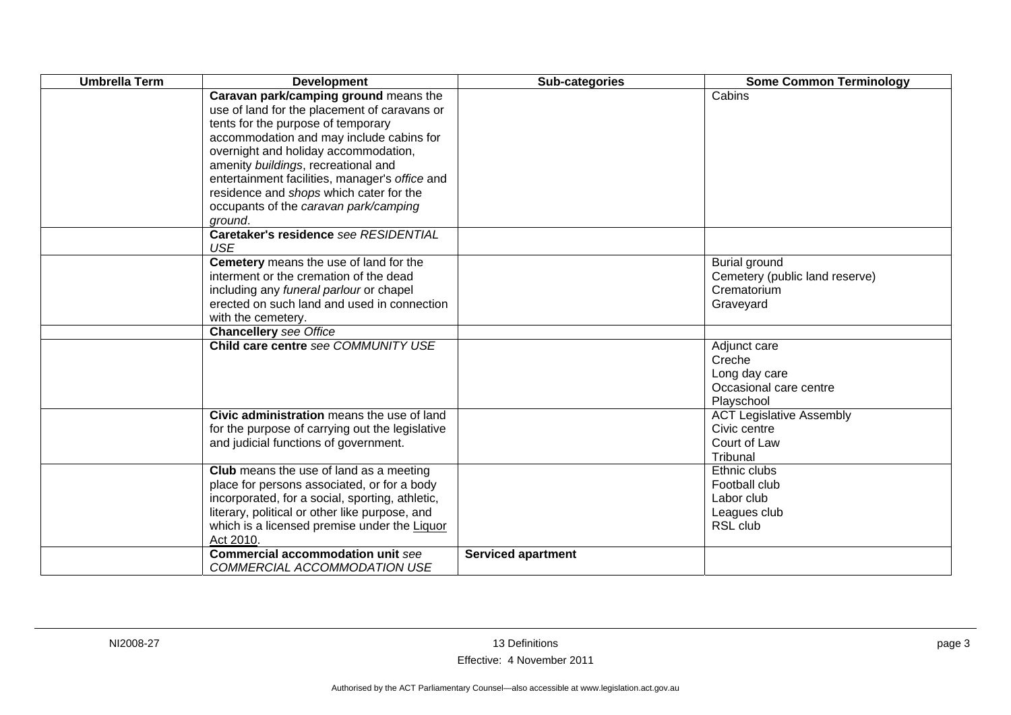| <b>Umbrella Term</b> | <b>Development</b>                                                                                                                                                                                                                                                                                                                                                                                      | Sub-categories            | <b>Some Common Terminology</b>                                                     |
|----------------------|---------------------------------------------------------------------------------------------------------------------------------------------------------------------------------------------------------------------------------------------------------------------------------------------------------------------------------------------------------------------------------------------------------|---------------------------|------------------------------------------------------------------------------------|
|                      | Caravan park/camping ground means the<br>use of land for the placement of caravans or<br>tents for the purpose of temporary<br>accommodation and may include cabins for<br>overnight and holiday accommodation,<br>amenity buildings, recreational and<br>entertainment facilities, manager's office and<br>residence and shops which cater for the<br>occupants of the caravan park/camping<br>ground. |                           | Cabins                                                                             |
|                      | Caretaker's residence see RESIDENTIAL<br><b>USE</b>                                                                                                                                                                                                                                                                                                                                                     |                           |                                                                                    |
|                      | Cemetery means the use of land for the<br>interment or the cremation of the dead<br>including any funeral parlour or chapel<br>erected on such land and used in connection<br>with the cemetery.                                                                                                                                                                                                        |                           | <b>Burial ground</b><br>Cemetery (public land reserve)<br>Crematorium<br>Graveyard |
|                      | <b>Chancellery</b> see Office                                                                                                                                                                                                                                                                                                                                                                           |                           |                                                                                    |
|                      | Child care centre see COMMUNITY USE                                                                                                                                                                                                                                                                                                                                                                     |                           | Adjunct care<br>Creche<br>Long day care<br>Occasional care centre<br>Playschool    |
|                      | Civic administration means the use of land<br>for the purpose of carrying out the legislative<br>and judicial functions of government.                                                                                                                                                                                                                                                                  |                           | <b>ACT Legislative Assembly</b><br>Civic centre<br>Court of Law<br>Tribunal        |
|                      | Club means the use of land as a meeting<br>place for persons associated, or for a body<br>incorporated, for a social, sporting, athletic,<br>literary, political or other like purpose, and<br>which is a licensed premise under the Liquor<br>Act 2010.                                                                                                                                                |                           | Ethnic clubs<br>Football club<br>Labor club<br>Leagues club<br>RSL club            |
|                      | <b>Commercial accommodation unit see</b><br>COMMERCIAL ACCOMMODATION USE                                                                                                                                                                                                                                                                                                                                | <b>Serviced apartment</b> |                                                                                    |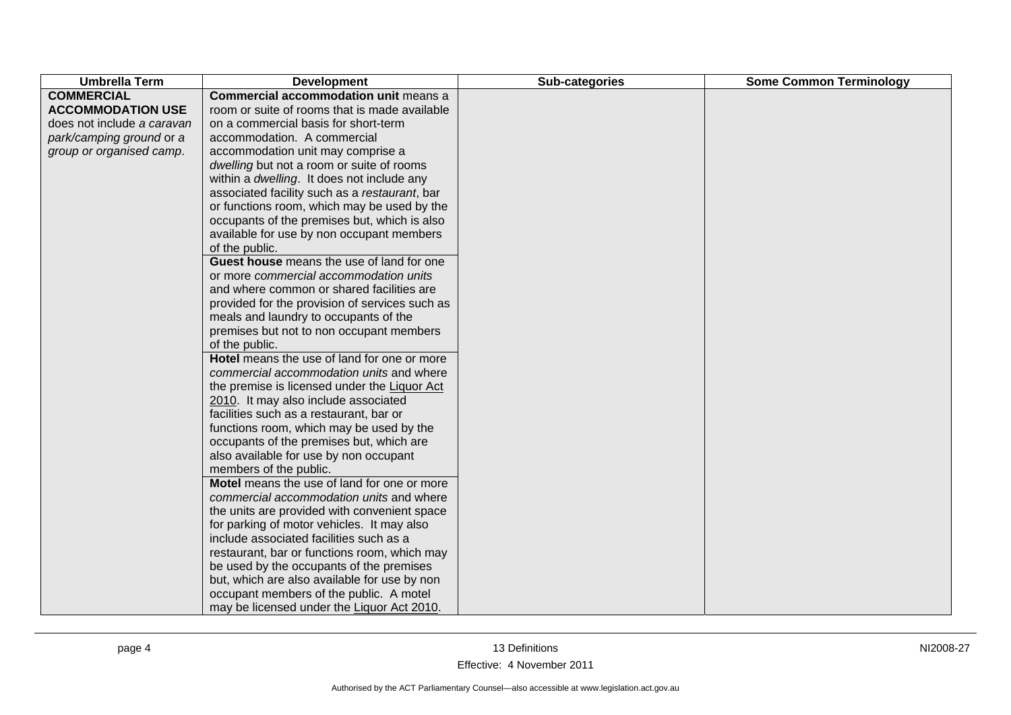| <b>Umbrella Term</b>       | <b>Development</b>                             | Sub-categories | <b>Some Common Terminology</b> |
|----------------------------|------------------------------------------------|----------------|--------------------------------|
| <b>COMMERCIAL</b>          | <b>Commercial accommodation unit means a</b>   |                |                                |
| <b>ACCOMMODATION USE</b>   | room or suite of rooms that is made available  |                |                                |
| does not include a caravan | on a commercial basis for short-term           |                |                                |
| park/camping ground or a   | accommodation. A commercial                    |                |                                |
| group or organised camp.   | accommodation unit may comprise a              |                |                                |
|                            | dwelling but not a room or suite of rooms      |                |                                |
|                            | within a dwelling. It does not include any     |                |                                |
|                            | associated facility such as a restaurant, bar  |                |                                |
|                            | or functions room, which may be used by the    |                |                                |
|                            | occupants of the premises but, which is also   |                |                                |
|                            | available for use by non occupant members      |                |                                |
|                            | of the public.                                 |                |                                |
|                            | Guest house means the use of land for one      |                |                                |
|                            | or more commercial accommodation units         |                |                                |
|                            | and where common or shared facilities are      |                |                                |
|                            | provided for the provision of services such as |                |                                |
|                            | meals and laundry to occupants of the          |                |                                |
|                            | premises but not to non occupant members       |                |                                |
|                            | of the public.                                 |                |                                |
|                            | Hotel means the use of land for one or more    |                |                                |
|                            | commercial accommodation units and where       |                |                                |
|                            | the premise is licensed under the Liquor Act   |                |                                |
|                            | 2010. It may also include associated           |                |                                |
|                            | facilities such as a restaurant, bar or        |                |                                |
|                            | functions room, which may be used by the       |                |                                |
|                            | occupants of the premises but, which are       |                |                                |
|                            | also available for use by non occupant         |                |                                |
|                            | members of the public.                         |                |                                |
|                            | Motel means the use of land for one or more    |                |                                |
|                            | commercial accommodation units and where       |                |                                |
|                            | the units are provided with convenient space   |                |                                |
|                            | for parking of motor vehicles. It may also     |                |                                |
|                            | include associated facilities such as a        |                |                                |
|                            | restaurant, bar or functions room, which may   |                |                                |
|                            | be used by the occupants of the premises       |                |                                |
|                            | but, which are also available for use by non   |                |                                |
|                            | occupant members of the public. A motel        |                |                                |
|                            | may be licensed under the Liquor Act 2010.     |                |                                |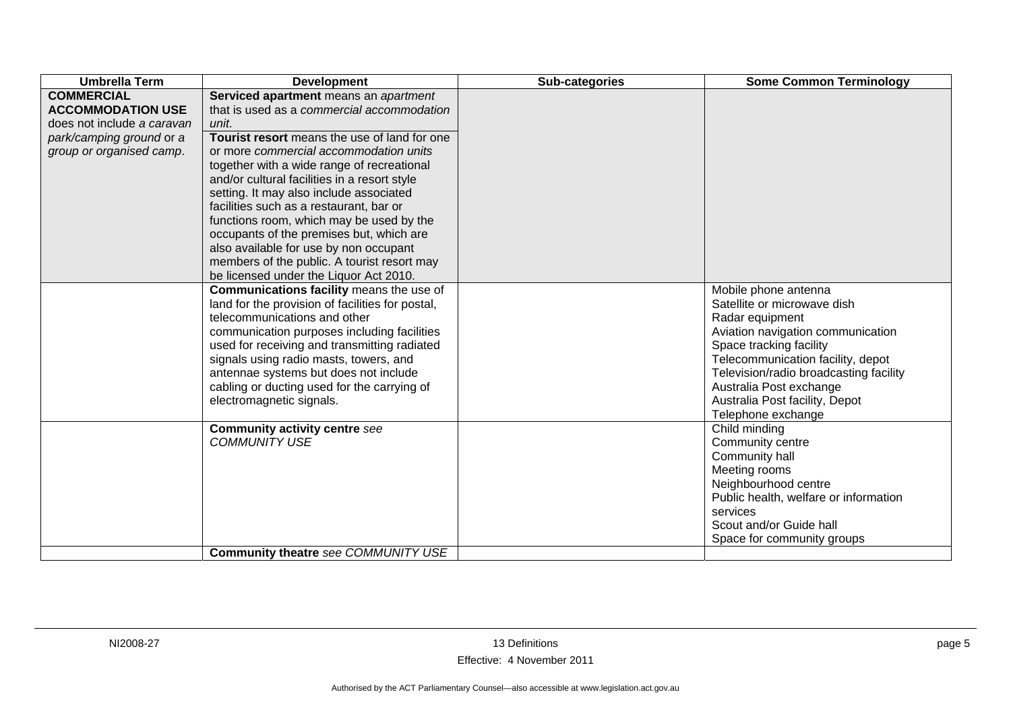| <b>Umbrella Term</b>       | <b>Development</b>                               | Sub-categories | <b>Some Common Terminology</b>                       |
|----------------------------|--------------------------------------------------|----------------|------------------------------------------------------|
| <b>COMMERCIAL</b>          | Serviced apartment means an apartment            |                |                                                      |
| <b>ACCOMMODATION USE</b>   | that is used as a commercial accommodation       |                |                                                      |
| does not include a caravan | unit.                                            |                |                                                      |
| park/camping ground or a   | Tourist resort means the use of land for one     |                |                                                      |
| group or organised camp.   | or more commercial accommodation units           |                |                                                      |
|                            | together with a wide range of recreational       |                |                                                      |
|                            | and/or cultural facilities in a resort style     |                |                                                      |
|                            | setting. It may also include associated          |                |                                                      |
|                            | facilities such as a restaurant, bar or          |                |                                                      |
|                            | functions room, which may be used by the         |                |                                                      |
|                            | occupants of the premises but, which are         |                |                                                      |
|                            | also available for use by non occupant           |                |                                                      |
|                            | members of the public. A tourist resort may      |                |                                                      |
|                            | be licensed under the Liquor Act 2010.           |                |                                                      |
|                            | Communications facility means the use of         |                | Mobile phone antenna                                 |
|                            | land for the provision of facilities for postal, |                | Satellite or microwave dish                          |
|                            | telecommunications and other                     |                | Radar equipment                                      |
|                            | communication purposes including facilities      |                | Aviation navigation communication                    |
|                            | used for receiving and transmitting radiated     |                | Space tracking facility                              |
|                            | signals using radio masts, towers, and           |                | Telecommunication facility, depot                    |
|                            | antennae systems but does not include            |                | Television/radio broadcasting facility               |
|                            | cabling or ducting used for the carrying of      |                | Australia Post exchange                              |
|                            | electromagnetic signals.                         |                | Australia Post facility, Depot<br>Telephone exchange |
|                            | <b>Community activity centre see</b>             |                | Child minding                                        |
|                            | <b>COMMUNITY USE</b>                             |                | Community centre                                     |
|                            |                                                  |                | Community hall                                       |
|                            |                                                  |                | Meeting rooms                                        |
|                            |                                                  |                | Neighbourhood centre                                 |
|                            |                                                  |                | Public health, welfare or information                |
|                            |                                                  |                | services                                             |
|                            |                                                  |                | Scout and/or Guide hall                              |
|                            |                                                  |                | Space for community groups                           |
|                            | Community theatre see COMMUNITY USE              |                |                                                      |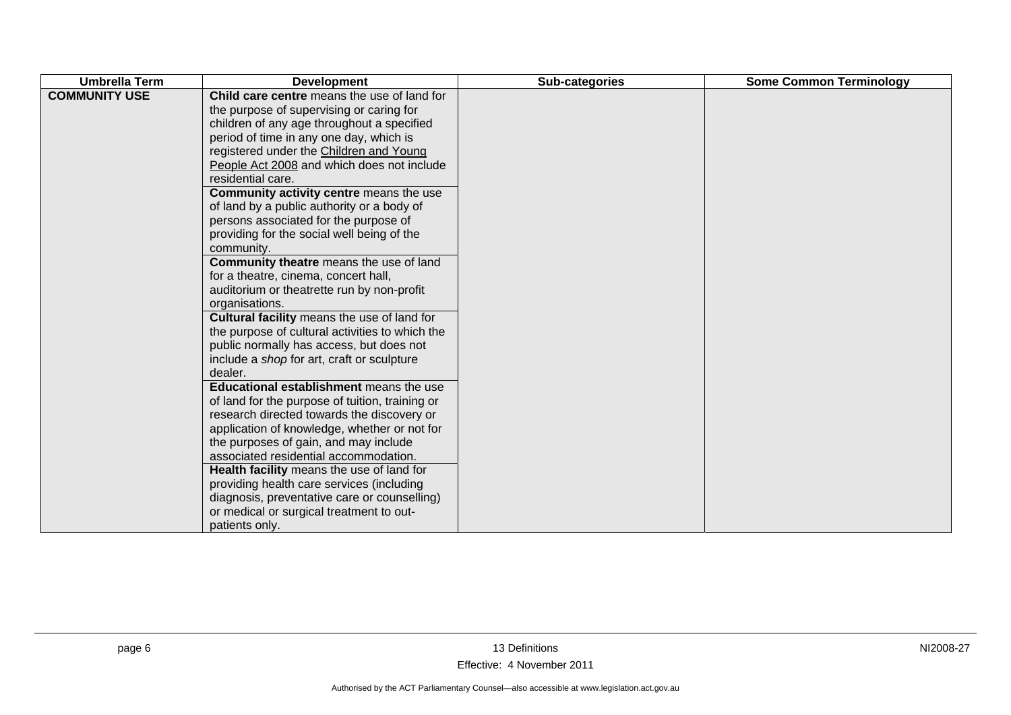| <b>Umbrella Term</b> | <b>Development</b>                                                                                                                                                                                                                                                                                                                                                                                                                                                                                                                                                                                                                                                                                                                                                                                                                                                                                                                                                                                               | Sub-categories | <b>Some Common Terminology</b> |
|----------------------|------------------------------------------------------------------------------------------------------------------------------------------------------------------------------------------------------------------------------------------------------------------------------------------------------------------------------------------------------------------------------------------------------------------------------------------------------------------------------------------------------------------------------------------------------------------------------------------------------------------------------------------------------------------------------------------------------------------------------------------------------------------------------------------------------------------------------------------------------------------------------------------------------------------------------------------------------------------------------------------------------------------|----------------|--------------------------------|
| <b>COMMUNITY USE</b> | Child care centre means the use of land for<br>the purpose of supervising or caring for<br>children of any age throughout a specified<br>period of time in any one day, which is<br>registered under the Children and Young<br>People Act 2008 and which does not include<br>residential care.<br>Community activity centre means the use<br>of land by a public authority or a body of<br>persons associated for the purpose of<br>providing for the social well being of the<br>community.<br><b>Community theatre</b> means the use of land<br>for a theatre, cinema, concert hall,<br>auditorium or theatrette run by non-profit<br>organisations.<br>Cultural facility means the use of land for<br>the purpose of cultural activities to which the<br>public normally has access, but does not<br>include a shop for art, craft or sculpture<br>dealer.<br><b>Educational establishment</b> means the use<br>of land for the purpose of tuition, training or<br>research directed towards the discovery or |                |                                |
|                      | application of knowledge, whether or not for<br>the purposes of gain, and may include<br>associated residential accommodation.                                                                                                                                                                                                                                                                                                                                                                                                                                                                                                                                                                                                                                                                                                                                                                                                                                                                                   |                |                                |
|                      | Health facility means the use of land for                                                                                                                                                                                                                                                                                                                                                                                                                                                                                                                                                                                                                                                                                                                                                                                                                                                                                                                                                                        |                |                                |
|                      | providing health care services (including                                                                                                                                                                                                                                                                                                                                                                                                                                                                                                                                                                                                                                                                                                                                                                                                                                                                                                                                                                        |                |                                |
|                      | diagnosis, preventative care or counselling)                                                                                                                                                                                                                                                                                                                                                                                                                                                                                                                                                                                                                                                                                                                                                                                                                                                                                                                                                                     |                |                                |
|                      | or medical or surgical treatment to out-<br>patients only.                                                                                                                                                                                                                                                                                                                                                                                                                                                                                                                                                                                                                                                                                                                                                                                                                                                                                                                                                       |                |                                |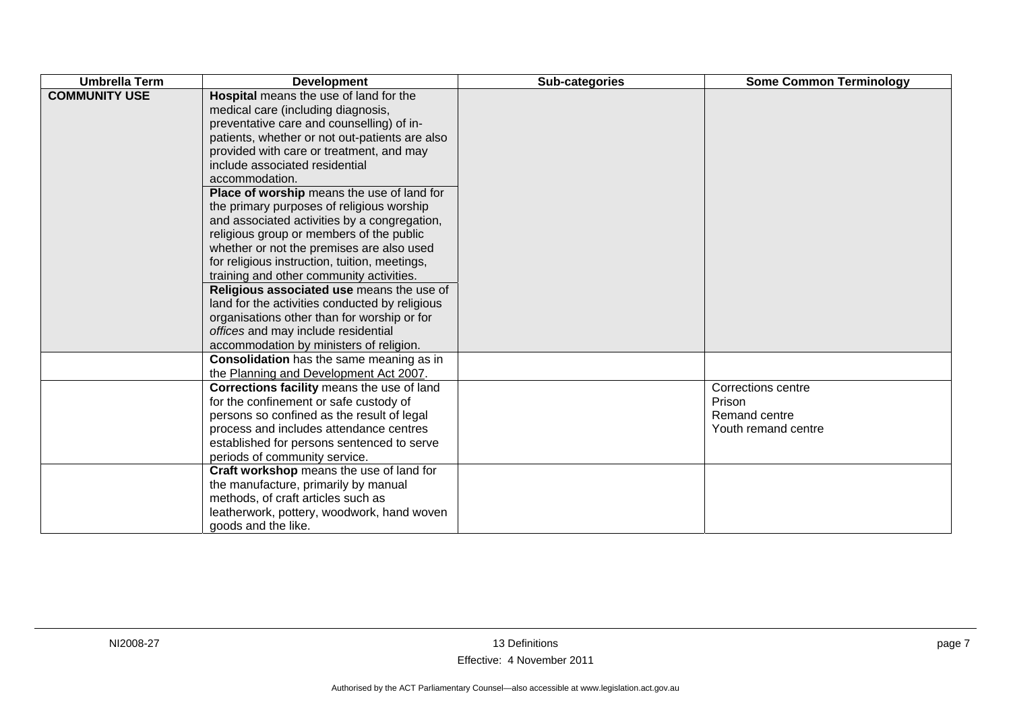| <b>Umbrella Term</b> | <b>Development</b>                                                                                                                                                                                                                                                                                                                                                                                                                                                                                                                                                                                                                                                                                                                                                                                                                           | Sub-categories | <b>Some Common Terminology</b>                                       |
|----------------------|----------------------------------------------------------------------------------------------------------------------------------------------------------------------------------------------------------------------------------------------------------------------------------------------------------------------------------------------------------------------------------------------------------------------------------------------------------------------------------------------------------------------------------------------------------------------------------------------------------------------------------------------------------------------------------------------------------------------------------------------------------------------------------------------------------------------------------------------|----------------|----------------------------------------------------------------------|
| <b>COMMUNITY USE</b> | Hospital means the use of land for the<br>medical care (including diagnosis,<br>preventative care and counselling) of in-<br>patients, whether or not out-patients are also<br>provided with care or treatment, and may<br>include associated residential<br>accommodation.<br>Place of worship means the use of land for<br>the primary purposes of religious worship<br>and associated activities by a congregation,<br>religious group or members of the public<br>whether or not the premises are also used<br>for religious instruction, tuition, meetings,<br>training and other community activities.<br>Religious associated use means the use of<br>land for the activities conducted by religious<br>organisations other than for worship or for<br>offices and may include residential<br>accommodation by ministers of religion. |                |                                                                      |
|                      | <b>Consolidation</b> has the same meaning as in<br>the Planning and Development Act 2007.                                                                                                                                                                                                                                                                                                                                                                                                                                                                                                                                                                                                                                                                                                                                                    |                |                                                                      |
|                      | Corrections facility means the use of land<br>for the confinement or safe custody of<br>persons so confined as the result of legal<br>process and includes attendance centres<br>established for persons sentenced to serve<br>periods of community service.                                                                                                                                                                                                                                                                                                                                                                                                                                                                                                                                                                                 |                | Corrections centre<br>Prison<br>Remand centre<br>Youth remand centre |
|                      | Craft workshop means the use of land for<br>the manufacture, primarily by manual<br>methods, of craft articles such as<br>leatherwork, pottery, woodwork, hand woven<br>goods and the like.                                                                                                                                                                                                                                                                                                                                                                                                                                                                                                                                                                                                                                                  |                |                                                                      |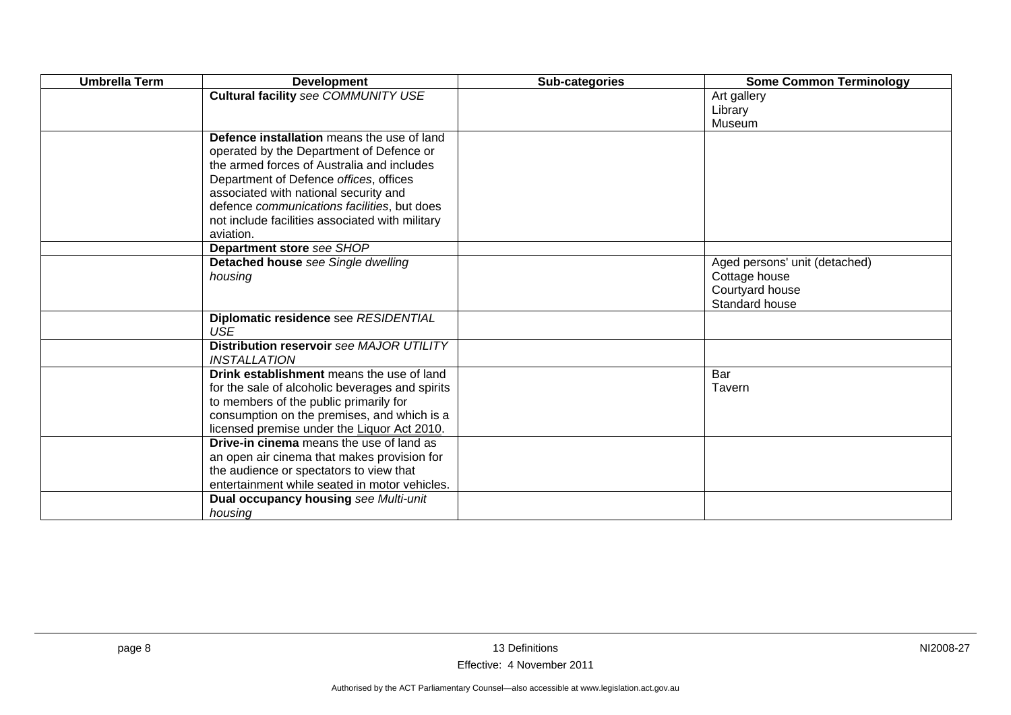| <b>Umbrella Term</b> | <b>Development</b>                              | Sub-categories | <b>Some Common Terminology</b>   |
|----------------------|-------------------------------------------------|----------------|----------------------------------|
|                      | <b>Cultural facility see COMMUNITY USE</b>      |                | Art gallery                      |
|                      |                                                 |                | Library                          |
|                      |                                                 |                | Museum                           |
|                      | Defence installation means the use of land      |                |                                  |
|                      | operated by the Department of Defence or        |                |                                  |
|                      | the armed forces of Australia and includes      |                |                                  |
|                      | Department of Defence offices, offices          |                |                                  |
|                      | associated with national security and           |                |                                  |
|                      | defence communications facilities, but does     |                |                                  |
|                      | not include facilities associated with military |                |                                  |
|                      | aviation.                                       |                |                                  |
|                      | Department store see SHOP                       |                |                                  |
|                      | Detached house see Single dwelling              |                | Aged persons' unit (detached)    |
|                      | housing                                         |                | Cottage house<br>Courtyard house |
|                      |                                                 |                | Standard house                   |
|                      | Diplomatic residence see RESIDENTIAL            |                |                                  |
|                      | <b>USE</b>                                      |                |                                  |
|                      | Distribution reservoir see MAJOR UTILITY        |                |                                  |
|                      | <b>INSTALLATION</b>                             |                |                                  |
|                      | Drink establishment means the use of land       |                | Bar                              |
|                      | for the sale of alcoholic beverages and spirits |                | <b>Tavern</b>                    |
|                      | to members of the public primarily for          |                |                                  |
|                      | consumption on the premises, and which is a     |                |                                  |
|                      | licensed premise under the Liquor Act 2010.     |                |                                  |
|                      | <b>Drive-in cinema</b> means the use of land as |                |                                  |
|                      | an open air cinema that makes provision for     |                |                                  |
|                      | the audience or spectators to view that         |                |                                  |
|                      | entertainment while seated in motor vehicles.   |                |                                  |
|                      | Dual occupancy housing see Multi-unit           |                |                                  |
|                      | housing                                         |                |                                  |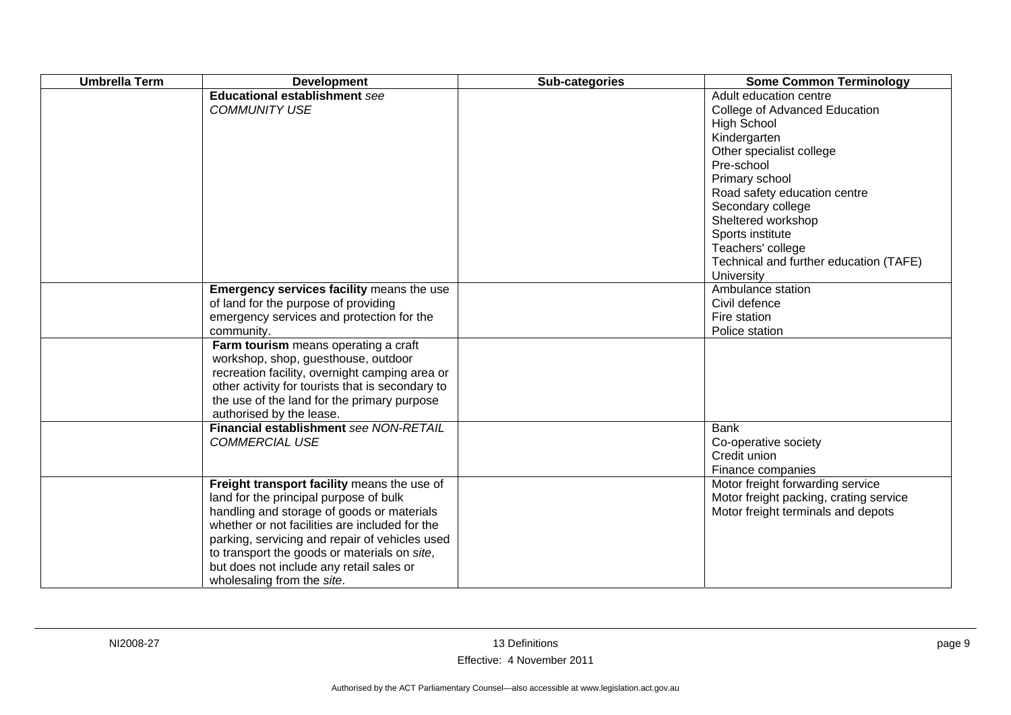| <b>Umbrella Term</b> | <b>Development</b>                                                                                                                                                                                                                                                                                                                                                | Sub-categories | <b>Some Common Terminology</b>                                                                                                                                                                                                                                                                                                        |
|----------------------|-------------------------------------------------------------------------------------------------------------------------------------------------------------------------------------------------------------------------------------------------------------------------------------------------------------------------------------------------------------------|----------------|---------------------------------------------------------------------------------------------------------------------------------------------------------------------------------------------------------------------------------------------------------------------------------------------------------------------------------------|
|                      | <b>Educational establishment see</b><br><b>COMMUNITY USE</b>                                                                                                                                                                                                                                                                                                      |                | Adult education centre<br>College of Advanced Education<br><b>High School</b><br>Kindergarten<br>Other specialist college<br>Pre-school<br>Primary school<br>Road safety education centre<br>Secondary college<br>Sheltered workshop<br>Sports institute<br>Teachers' college<br>Technical and further education (TAFE)<br>University |
|                      | Emergency services facility means the use<br>of land for the purpose of providing<br>emergency services and protection for the<br>community.                                                                                                                                                                                                                      |                | Ambulance station<br>Civil defence<br>Fire station<br>Police station                                                                                                                                                                                                                                                                  |
|                      | Farm tourism means operating a craft<br>workshop, shop, guesthouse, outdoor<br>recreation facility, overnight camping area or<br>other activity for tourists that is secondary to<br>the use of the land for the primary purpose<br>authorised by the lease.                                                                                                      |                |                                                                                                                                                                                                                                                                                                                                       |
|                      | Financial establishment see NON-RETAIL<br><b>COMMERCIAL USE</b>                                                                                                                                                                                                                                                                                                   |                | <b>Bank</b><br>Co-operative society<br>Credit union<br>Finance companies                                                                                                                                                                                                                                                              |
|                      | Freight transport facility means the use of<br>land for the principal purpose of bulk<br>handling and storage of goods or materials<br>whether or not facilities are included for the<br>parking, servicing and repair of vehicles used<br>to transport the goods or materials on site,<br>but does not include any retail sales or<br>wholesaling from the site. |                | Motor freight forwarding service<br>Motor freight packing, crating service<br>Motor freight terminals and depots                                                                                                                                                                                                                      |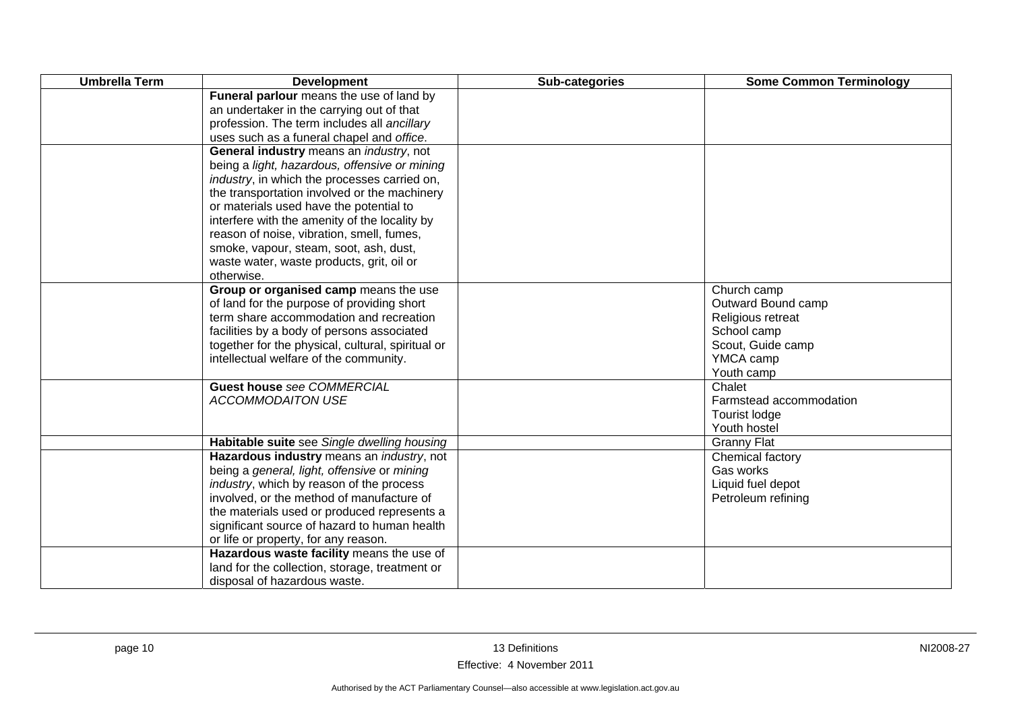| <b>Umbrella Term</b> | <b>Development</b>                                | Sub-categories | <b>Some Common Terminology</b> |
|----------------------|---------------------------------------------------|----------------|--------------------------------|
|                      | Funeral parlour means the use of land by          |                |                                |
|                      | an undertaker in the carrying out of that         |                |                                |
|                      | profession. The term includes all ancillary       |                |                                |
|                      | uses such as a funeral chapel and office.         |                |                                |
|                      | General industry means an <i>industry</i> , not   |                |                                |
|                      | being a light, hazardous, offensive or mining     |                |                                |
|                      | industry, in which the processes carried on,      |                |                                |
|                      | the transportation involved or the machinery      |                |                                |
|                      | or materials used have the potential to           |                |                                |
|                      | interfere with the amenity of the locality by     |                |                                |
|                      | reason of noise, vibration, smell, fumes,         |                |                                |
|                      | smoke, vapour, steam, soot, ash, dust,            |                |                                |
|                      | waste water, waste products, grit, oil or         |                |                                |
|                      | otherwise.                                        |                |                                |
|                      | Group or organised camp means the use             |                | Church camp                    |
|                      | of land for the purpose of providing short        |                | Outward Bound camp             |
|                      | term share accommodation and recreation           |                | Religious retreat              |
|                      | facilities by a body of persons associated        |                | School camp                    |
|                      | together for the physical, cultural, spiritual or |                | Scout, Guide camp              |
|                      | intellectual welfare of the community.            |                | YMCA camp                      |
|                      |                                                   |                | Youth camp                     |
|                      | <b>Guest house see COMMERCIAL</b>                 |                | Chalet                         |
|                      | <b>ACCOMMODAITON USE</b>                          |                | Farmstead accommodation        |
|                      |                                                   |                | Tourist lodge                  |
|                      |                                                   |                | Youth hostel                   |
|                      | Habitable suite see Single dwelling housing       |                | <b>Granny Flat</b>             |
|                      | Hazardous industry means an industry, not         |                | Chemical factory               |
|                      | being a general, light, offensive or mining       |                | Gas works                      |
|                      | industry, which by reason of the process          |                | Liquid fuel depot              |
|                      | involved, or the method of manufacture of         |                | Petroleum refining             |
|                      | the materials used or produced represents a       |                |                                |
|                      | significant source of hazard to human health      |                |                                |
|                      | or life or property, for any reason.              |                |                                |
|                      | Hazardous waste facility means the use of         |                |                                |
|                      | land for the collection, storage, treatment or    |                |                                |
|                      | disposal of hazardous waste.                      |                |                                |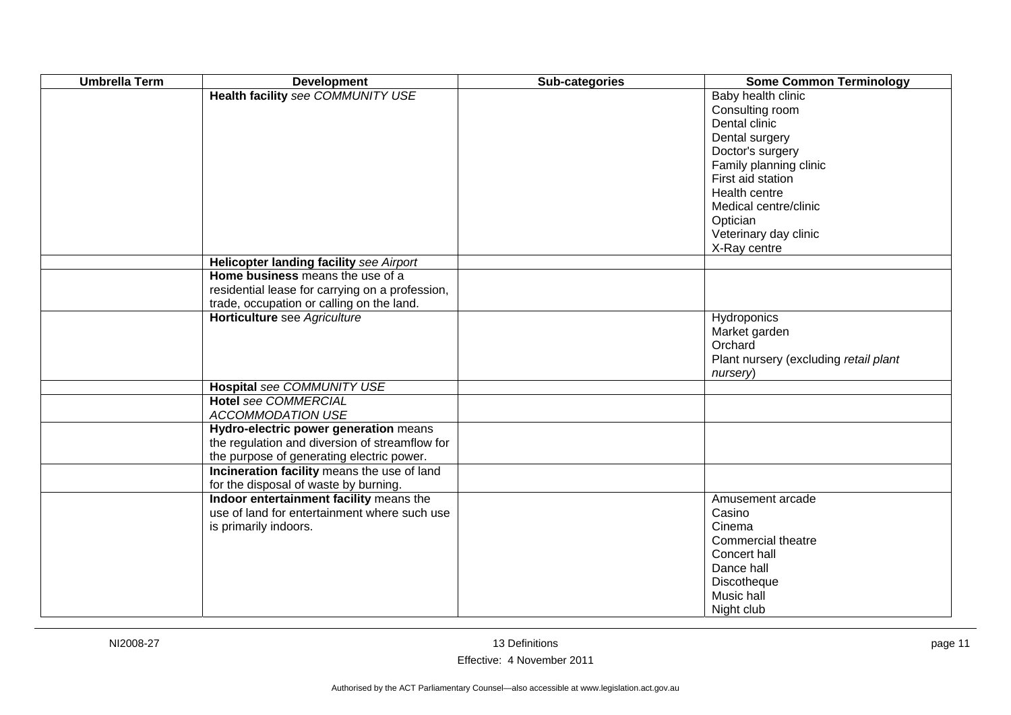| <b>Umbrella Term</b> | <b>Development</b>                              | Sub-categories | <b>Some Common Terminology</b>        |
|----------------------|-------------------------------------------------|----------------|---------------------------------------|
|                      | Health facility see COMMUNITY USE               |                | Baby health clinic                    |
|                      |                                                 |                | Consulting room                       |
|                      |                                                 |                | Dental clinic                         |
|                      |                                                 |                | Dental surgery                        |
|                      |                                                 |                | Doctor's surgery                      |
|                      |                                                 |                | Family planning clinic                |
|                      |                                                 |                | First aid station                     |
|                      |                                                 |                | Health centre                         |
|                      |                                                 |                | Medical centre/clinic                 |
|                      |                                                 |                | Optician                              |
|                      |                                                 |                | Veterinary day clinic                 |
|                      |                                                 |                | X-Ray centre                          |
|                      | Helicopter landing facility see Airport         |                |                                       |
|                      | Home business means the use of a                |                |                                       |
|                      | residential lease for carrying on a profession, |                |                                       |
|                      | trade, occupation or calling on the land.       |                |                                       |
|                      | Horticulture see Agriculture                    |                | Hydroponics                           |
|                      |                                                 |                | Market garden                         |
|                      |                                                 |                | Orchard                               |
|                      |                                                 |                | Plant nursery (excluding retail plant |
|                      |                                                 |                | nursery)                              |
|                      | Hospital see COMMUNITY USE                      |                |                                       |
|                      | <b>Hotel see COMMERCIAL</b>                     |                |                                       |
|                      | ACCOMMODATION USE                               |                |                                       |
|                      | Hydro-electric power generation means           |                |                                       |
|                      | the regulation and diversion of streamflow for  |                |                                       |
|                      | the purpose of generating electric power.       |                |                                       |
|                      | Incineration facility means the use of land     |                |                                       |
|                      | for the disposal of waste by burning.           |                |                                       |
|                      | Indoor entertainment facility means the         |                | Amusement arcade                      |
|                      | use of land for entertainment where such use    |                | Casino                                |
|                      | is primarily indoors.                           |                | Cinema                                |
|                      |                                                 |                | Commercial theatre                    |
|                      |                                                 |                | Concert hall                          |
|                      |                                                 |                | Dance hall                            |
|                      |                                                 |                | Discotheque                           |
|                      |                                                 |                | Music hall                            |
|                      |                                                 |                | Night club                            |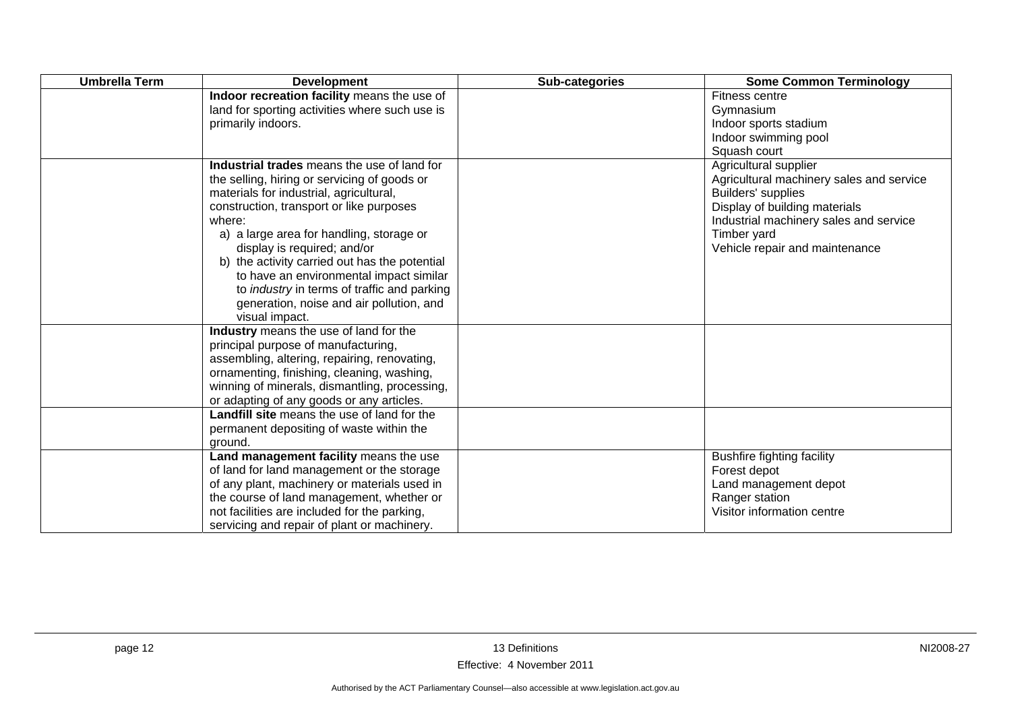| <b>Umbrella Term</b> | <b>Development</b>                                                                                                                                                                                                                                                                                                                                                                                                                                                                      | Sub-categories | <b>Some Common Terminology</b>                                                                                                                                                                                      |
|----------------------|-----------------------------------------------------------------------------------------------------------------------------------------------------------------------------------------------------------------------------------------------------------------------------------------------------------------------------------------------------------------------------------------------------------------------------------------------------------------------------------------|----------------|---------------------------------------------------------------------------------------------------------------------------------------------------------------------------------------------------------------------|
|                      | Indoor recreation facility means the use of<br>land for sporting activities where such use is<br>primarily indoors.                                                                                                                                                                                                                                                                                                                                                                     |                | Fitness centre<br>Gymnasium<br>Indoor sports stadium<br>Indoor swimming pool<br>Squash court                                                                                                                        |
|                      | Industrial trades means the use of land for<br>the selling, hiring or servicing of goods or<br>materials for industrial, agricultural,<br>construction, transport or like purposes<br>where:<br>a) a large area for handling, storage or<br>display is required; and/or<br>b) the activity carried out has the potential<br>to have an environmental impact similar<br>to <i>industry</i> in terms of traffic and parking<br>generation, noise and air pollution, and<br>visual impact. |                | Agricultural supplier<br>Agricultural machinery sales and service<br>Builders' supplies<br>Display of building materials<br>Industrial machinery sales and service<br>Timber yard<br>Vehicle repair and maintenance |
|                      | Industry means the use of land for the<br>principal purpose of manufacturing,<br>assembling, altering, repairing, renovating,<br>ornamenting, finishing, cleaning, washing,<br>winning of minerals, dismantling, processing,<br>or adapting of any goods or any articles.                                                                                                                                                                                                               |                |                                                                                                                                                                                                                     |
|                      | Landfill site means the use of land for the<br>permanent depositing of waste within the<br>ground.                                                                                                                                                                                                                                                                                                                                                                                      |                |                                                                                                                                                                                                                     |
|                      | Land management facility means the use<br>of land for land management or the storage<br>of any plant, machinery or materials used in<br>the course of land management, whether or<br>not facilities are included for the parking,<br>servicing and repair of plant or machinery.                                                                                                                                                                                                        |                | <b>Bushfire fighting facility</b><br>Forest depot<br>Land management depot<br>Ranger station<br>Visitor information centre                                                                                          |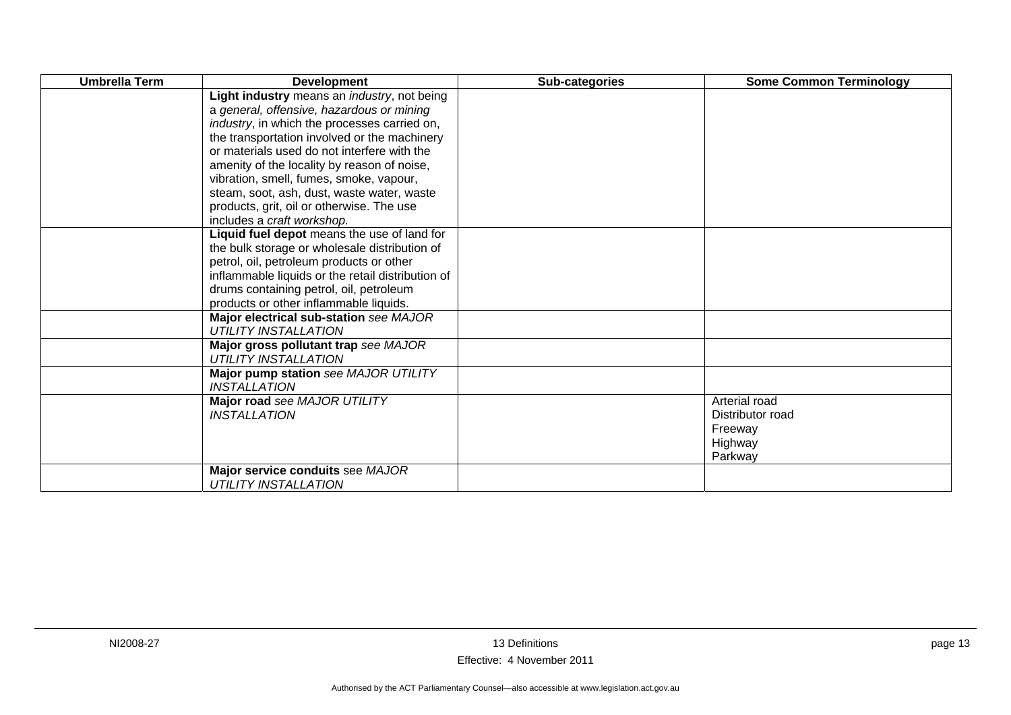| <b>Umbrella Term</b> | <b>Development</b>                                                    | Sub-categories | <b>Some Common Terminology</b> |
|----------------------|-----------------------------------------------------------------------|----------------|--------------------------------|
|                      | Light industry means an <i>industry</i> , not being                   |                |                                |
|                      | a general, offensive, hazardous or mining                             |                |                                |
|                      | industry, in which the processes carried on,                          |                |                                |
|                      | the transportation involved or the machinery                          |                |                                |
|                      | or materials used do not interfere with the                           |                |                                |
|                      | amenity of the locality by reason of noise,                           |                |                                |
|                      | vibration, smell, fumes, smoke, vapour,                               |                |                                |
|                      | steam, soot, ash, dust, waste water, waste                            |                |                                |
|                      | products, grit, oil or otherwise. The use                             |                |                                |
|                      | includes a craft workshop.                                            |                |                                |
|                      | Liquid fuel depot means the use of land for                           |                |                                |
|                      | the bulk storage or wholesale distribution of                         |                |                                |
|                      | petrol, oil, petroleum products or other                              |                |                                |
|                      | inflammable liquids or the retail distribution of                     |                |                                |
|                      | drums containing petrol, oil, petroleum                               |                |                                |
|                      | products or other inflammable liquids.                                |                |                                |
|                      | Major electrical sub-station see MAJOR<br><b>UTILITY INSTALLATION</b> |                |                                |
|                      |                                                                       |                |                                |
|                      | Major gross pollutant trap see MAJOR<br><b>UTILITY INSTALLATION</b>   |                |                                |
|                      | Major pump station see MAJOR UTILITY                                  |                |                                |
|                      | <b>INSTALLATION</b>                                                   |                |                                |
|                      | Major road see MAJOR UTILITY                                          |                | Arterial road                  |
|                      | <b>INSTALLATION</b>                                                   |                | Distributor road               |
|                      |                                                                       |                | Freeway                        |
|                      |                                                                       |                | Highway                        |
|                      |                                                                       |                | Parkway                        |
|                      | Major service conduits see MAJOR                                      |                |                                |
|                      | <b>UTILITY INSTALLATION</b>                                           |                |                                |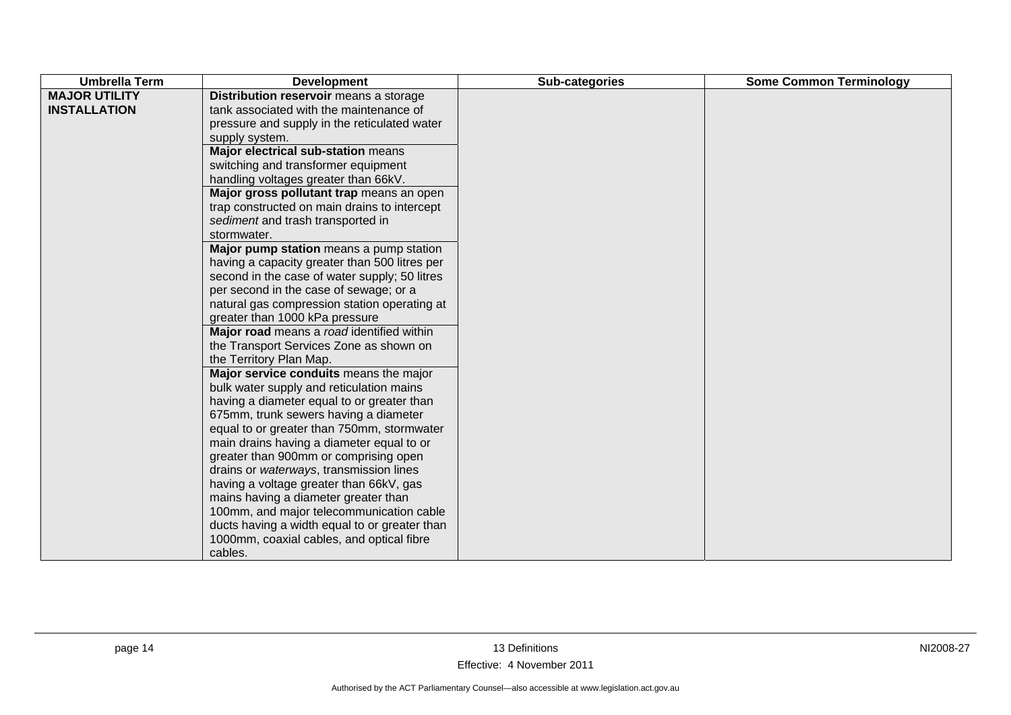| <b>MAJOR UTILITY</b><br>Distribution reservoir means a storage<br><b>INSTALLATION</b><br>tank associated with the maintenance of                                                                                                                                                                                                                                                                                                                                                                                                                                                                                                                                                                                                                                                                                                                                                                                                                                                                                                                                                                                                                                                                                                                                                                                         | <b>Umbrella Term</b><br><b>Development</b> |
|--------------------------------------------------------------------------------------------------------------------------------------------------------------------------------------------------------------------------------------------------------------------------------------------------------------------------------------------------------------------------------------------------------------------------------------------------------------------------------------------------------------------------------------------------------------------------------------------------------------------------------------------------------------------------------------------------------------------------------------------------------------------------------------------------------------------------------------------------------------------------------------------------------------------------------------------------------------------------------------------------------------------------------------------------------------------------------------------------------------------------------------------------------------------------------------------------------------------------------------------------------------------------------------------------------------------------|--------------------------------------------|
| pressure and supply in the reticulated water<br>supply system.<br>Major electrical sub-station means<br>switching and transformer equipment<br>handling voltages greater than 66kV.<br>Major gross pollutant trap means an open<br>trap constructed on main drains to intercept<br>sediment and trash transported in<br>stormwater.<br>Major pump station means a pump station<br>having a capacity greater than 500 litres per<br>second in the case of water supply; 50 litres<br>per second in the case of sewage; or a<br>natural gas compression station operating at<br>greater than 1000 kPa pressure<br>Major road means a road identified within<br>the Transport Services Zone as shown on<br>the Territory Plan Map.<br>Major service conduits means the major<br>bulk water supply and reticulation mains<br>having a diameter equal to or greater than<br>675mm, trunk sewers having a diameter<br>equal to or greater than 750mm, stormwater<br>main drains having a diameter equal to or<br>greater than 900mm or comprising open<br>drains or waterways, transmission lines<br>having a voltage greater than 66kV, gas<br>mains having a diameter greater than<br>100mm, and major telecommunication cable<br>ducts having a width equal to or greater than<br>1000mm, coaxial cables, and optical fibre | cables.                                    |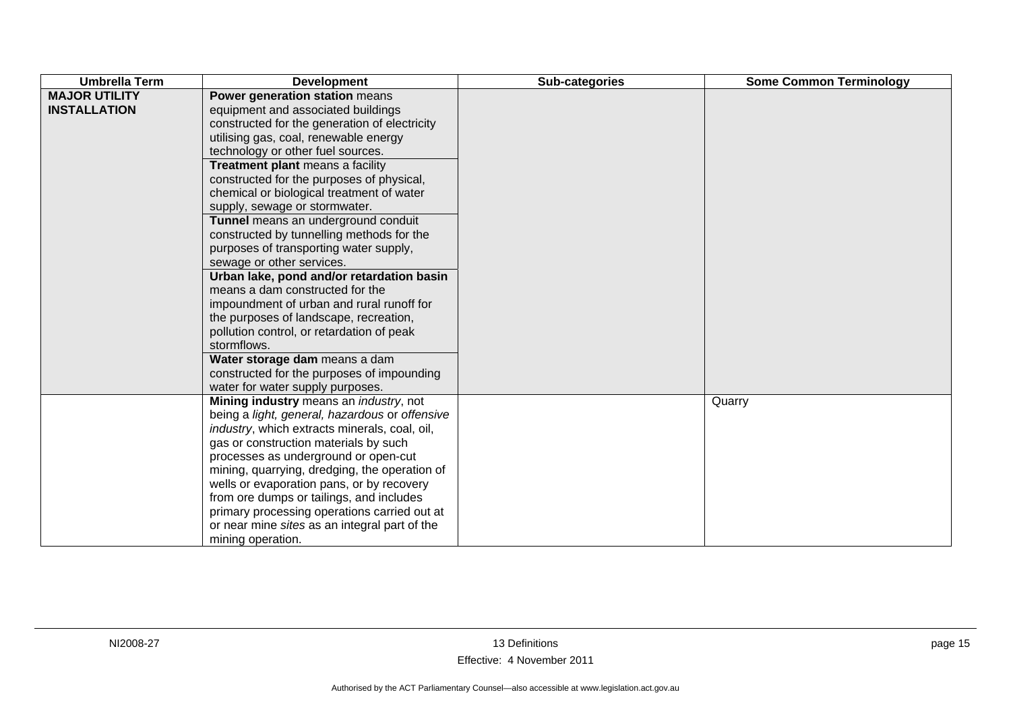| <b>Umbrella Term</b>                        | <b>Development</b>                                                                                                                                                                                                                                                                                                                                                                                                                                                                                                                                                                                                                                                                                                                                                                                                                                                                  | Sub-categories | <b>Some Common Terminology</b> |
|---------------------------------------------|-------------------------------------------------------------------------------------------------------------------------------------------------------------------------------------------------------------------------------------------------------------------------------------------------------------------------------------------------------------------------------------------------------------------------------------------------------------------------------------------------------------------------------------------------------------------------------------------------------------------------------------------------------------------------------------------------------------------------------------------------------------------------------------------------------------------------------------------------------------------------------------|----------------|--------------------------------|
| <b>MAJOR UTILITY</b><br><b>INSTALLATION</b> | Power generation station means<br>equipment and associated buildings<br>constructed for the generation of electricity<br>utilising gas, coal, renewable energy<br>technology or other fuel sources.<br>Treatment plant means a facility<br>constructed for the purposes of physical,<br>chemical or biological treatment of water<br>supply, sewage or stormwater.<br>Tunnel means an underground conduit<br>constructed by tunnelling methods for the<br>purposes of transporting water supply,<br>sewage or other services.<br>Urban lake, pond and/or retardation basin<br>means a dam constructed for the<br>impoundment of urban and rural runoff for<br>the purposes of landscape, recreation,<br>pollution control, or retardation of peak<br>stormflows.<br>Water storage dam means a dam<br>constructed for the purposes of impounding<br>water for water supply purposes. |                |                                |
|                                             | Mining industry means an <i>industry</i> , not<br>being a light, general, hazardous or offensive<br>industry, which extracts minerals, coal, oil,<br>gas or construction materials by such<br>processes as underground or open-cut<br>mining, quarrying, dredging, the operation of<br>wells or evaporation pans, or by recovery<br>from ore dumps or tailings, and includes<br>primary processing operations carried out at<br>or near mine sites as an integral part of the<br>mining operation.                                                                                                                                                                                                                                                                                                                                                                                  |                | Quarry                         |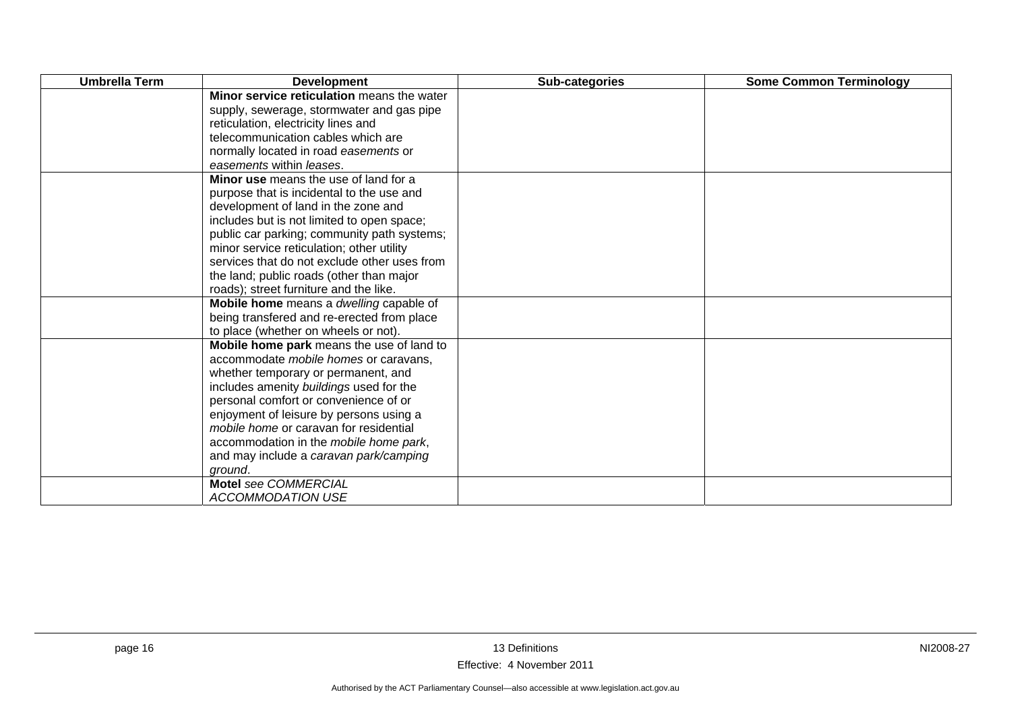| <b>Umbrella Term</b> | <b>Development</b>                           | Sub-categories | <b>Some Common Terminology</b> |
|----------------------|----------------------------------------------|----------------|--------------------------------|
|                      | Minor service reticulation means the water   |                |                                |
|                      | supply, sewerage, stormwater and gas pipe    |                |                                |
|                      | reticulation, electricity lines and          |                |                                |
|                      | telecommunication cables which are           |                |                                |
|                      | normally located in road easements or        |                |                                |
|                      | easements within leases.                     |                |                                |
|                      | Minor use means the use of land for a        |                |                                |
|                      | purpose that is incidental to the use and    |                |                                |
|                      | development of land in the zone and          |                |                                |
|                      | includes but is not limited to open space;   |                |                                |
|                      | public car parking; community path systems;  |                |                                |
|                      | minor service reticulation; other utility    |                |                                |
|                      | services that do not exclude other uses from |                |                                |
|                      | the land; public roads (other than major     |                |                                |
|                      | roads); street furniture and the like.       |                |                                |
|                      | Mobile home means a dwelling capable of      |                |                                |
|                      | being transfered and re-erected from place   |                |                                |
|                      | to place (whether on wheels or not).         |                |                                |
|                      | Mobile home park means the use of land to    |                |                                |
|                      | accommodate mobile homes or caravans,        |                |                                |
|                      | whether temporary or permanent, and          |                |                                |
|                      | includes amenity buildings used for the      |                |                                |
|                      | personal comfort or convenience of or        |                |                                |
|                      | enjoyment of leisure by persons using a      |                |                                |
|                      | mobile home or caravan for residential       |                |                                |
|                      | accommodation in the mobile home park,       |                |                                |
|                      | and may include a caravan park/camping       |                |                                |
|                      | ground.                                      |                |                                |
|                      | <b>Motel see COMMERCIAL</b>                  |                |                                |
|                      | <b>ACCOMMODATION USE</b>                     |                |                                |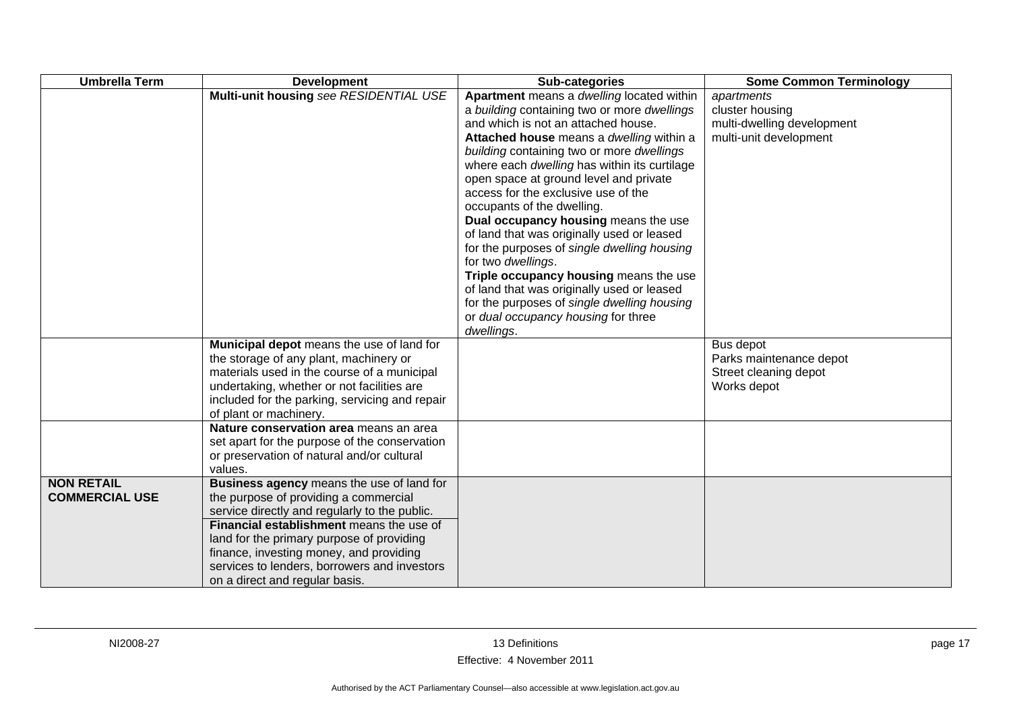| <b>Umbrella Term</b>                       | <b>Development</b>                                                                                                                                                                                                                                                                                                                                        | Sub-categories                                                                                                                                                                                                                                                                                                                                                                                                                                                                                                                                                                                                                                                                                                                                 | <b>Some Common Terminology</b>                                                        |
|--------------------------------------------|-----------------------------------------------------------------------------------------------------------------------------------------------------------------------------------------------------------------------------------------------------------------------------------------------------------------------------------------------------------|------------------------------------------------------------------------------------------------------------------------------------------------------------------------------------------------------------------------------------------------------------------------------------------------------------------------------------------------------------------------------------------------------------------------------------------------------------------------------------------------------------------------------------------------------------------------------------------------------------------------------------------------------------------------------------------------------------------------------------------------|---------------------------------------------------------------------------------------|
|                                            | Multi-unit housing see RESIDENTIAL USE                                                                                                                                                                                                                                                                                                                    | Apartment means a dwelling located within<br>a building containing two or more dwellings<br>and which is not an attached house.<br>Attached house means a dwelling within a<br>building containing two or more dwellings<br>where each dwelling has within its curtilage<br>open space at ground level and private<br>access for the exclusive use of the<br>occupants of the dwelling.<br>Dual occupancy housing means the use<br>of land that was originally used or leased<br>for the purposes of single dwelling housing<br>for two dwellings.<br>Triple occupancy housing means the use<br>of land that was originally used or leased<br>for the purposes of single dwelling housing<br>or dual occupancy housing for three<br>dwellings. | apartments<br>cluster housing<br>multi-dwelling development<br>multi-unit development |
|                                            | Municipal depot means the use of land for<br>the storage of any plant, machinery or<br>materials used in the course of a municipal<br>undertaking, whether or not facilities are<br>included for the parking, servicing and repair<br>of plant or machinery.                                                                                              |                                                                                                                                                                                                                                                                                                                                                                                                                                                                                                                                                                                                                                                                                                                                                | Bus depot<br>Parks maintenance depot<br>Street cleaning depot<br>Works depot          |
|                                            | Nature conservation area means an area<br>set apart for the purpose of the conservation<br>or preservation of natural and/or cultural<br>values.                                                                                                                                                                                                          |                                                                                                                                                                                                                                                                                                                                                                                                                                                                                                                                                                                                                                                                                                                                                |                                                                                       |
| <b>NON RETAIL</b><br><b>COMMERCIAL USE</b> | Business agency means the use of land for<br>the purpose of providing a commercial<br>service directly and regularly to the public.<br>Financial establishment means the use of<br>land for the primary purpose of providing<br>finance, investing money, and providing<br>services to lenders, borrowers and investors<br>on a direct and regular basis. |                                                                                                                                                                                                                                                                                                                                                                                                                                                                                                                                                                                                                                                                                                                                                |                                                                                       |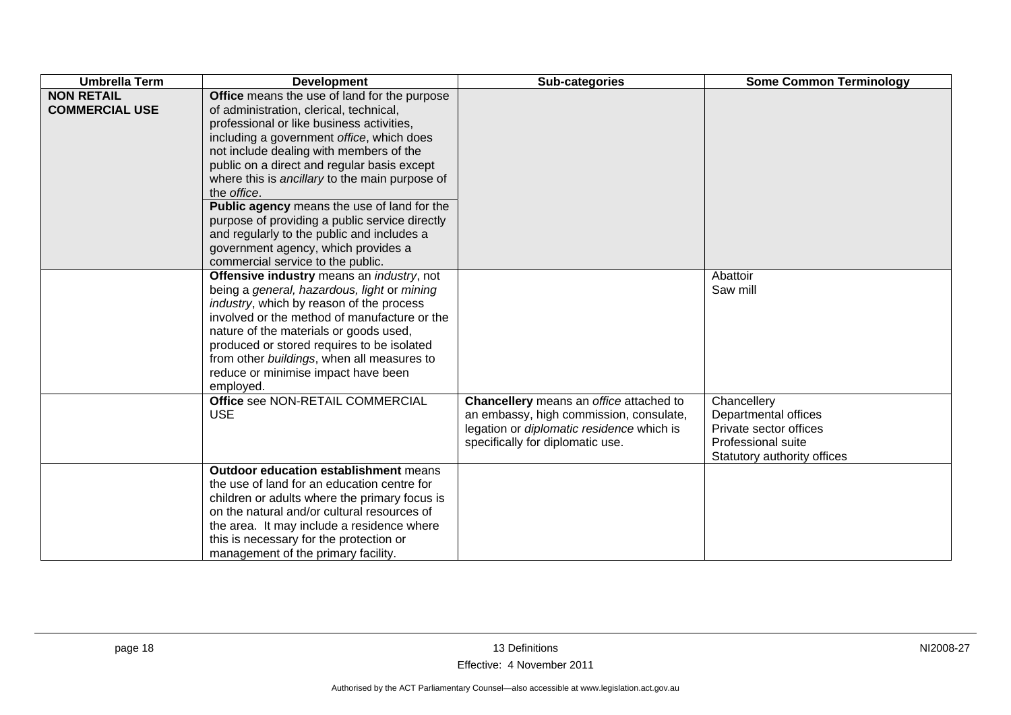| <b>Umbrella Term</b>                       | <b>Development</b>                                                                                                                                                                                                                                                                                                                                                                                                                                                                                                                                                      | Sub-categories                                                                                                                                                      | <b>Some Common Terminology</b>                                                                                     |
|--------------------------------------------|-------------------------------------------------------------------------------------------------------------------------------------------------------------------------------------------------------------------------------------------------------------------------------------------------------------------------------------------------------------------------------------------------------------------------------------------------------------------------------------------------------------------------------------------------------------------------|---------------------------------------------------------------------------------------------------------------------------------------------------------------------|--------------------------------------------------------------------------------------------------------------------|
| <b>NON RETAIL</b><br><b>COMMERCIAL USE</b> | Office means the use of land for the purpose<br>of administration, clerical, technical,<br>professional or like business activities,<br>including a government office, which does<br>not include dealing with members of the<br>public on a direct and regular basis except<br>where this is ancillary to the main purpose of<br>the office.<br>Public agency means the use of land for the<br>purpose of providing a public service directly<br>and regularly to the public and includes a<br>government agency, which provides a<br>commercial service to the public. |                                                                                                                                                                     |                                                                                                                    |
|                                            | Offensive industry means an industry, not<br>being a general, hazardous, light or mining<br>industry, which by reason of the process<br>involved or the method of manufacture or the<br>nature of the materials or goods used,<br>produced or stored requires to be isolated<br>from other buildings, when all measures to<br>reduce or minimise impact have been<br>employed.                                                                                                                                                                                          |                                                                                                                                                                     | Abattoir<br>Saw mill                                                                                               |
|                                            | Office see NON-RETAIL COMMERCIAL<br><b>USE</b>                                                                                                                                                                                                                                                                                                                                                                                                                                                                                                                          | Chancellery means an office attached to<br>an embassy, high commission, consulate,<br>legation or diplomatic residence which is<br>specifically for diplomatic use. | Chancellery<br>Departmental offices<br>Private sector offices<br>Professional suite<br>Statutory authority offices |
|                                            | <b>Outdoor education establishment means</b><br>the use of land for an education centre for<br>children or adults where the primary focus is<br>on the natural and/or cultural resources of<br>the area. It may include a residence where<br>this is necessary for the protection or<br>management of the primary facility.                                                                                                                                                                                                                                             |                                                                                                                                                                     |                                                                                                                    |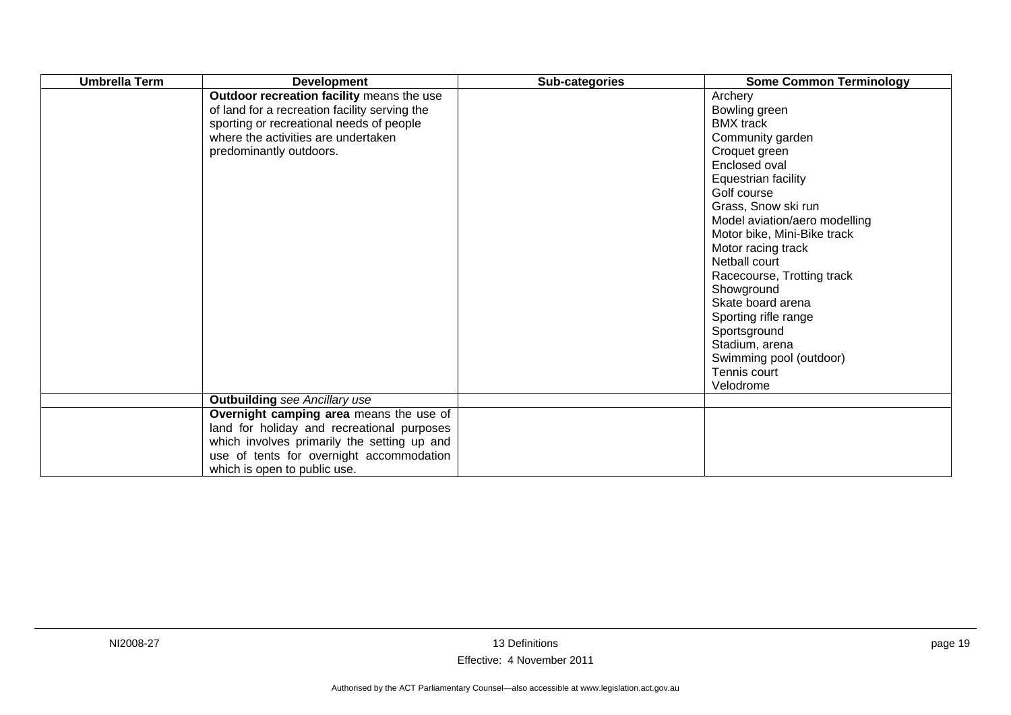| <b>Umbrella Term</b> | <b>Development</b>                                                                                                                                                                                               | Sub-categories | <b>Some Common Terminology</b>                                                                                                                                                                                                                                                                                                                                                                                                               |
|----------------------|------------------------------------------------------------------------------------------------------------------------------------------------------------------------------------------------------------------|----------------|----------------------------------------------------------------------------------------------------------------------------------------------------------------------------------------------------------------------------------------------------------------------------------------------------------------------------------------------------------------------------------------------------------------------------------------------|
|                      | Outdoor recreation facility means the use<br>of land for a recreation facility serving the<br>sporting or recreational needs of people<br>where the activities are undertaken<br>predominantly outdoors.         |                | Archery<br>Bowling green<br><b>BMX</b> track<br>Community garden<br>Croquet green<br>Enclosed oval<br>Equestrian facility<br>Golf course<br>Grass, Snow ski run<br>Model aviation/aero modelling<br>Motor bike, Mini-Bike track<br>Motor racing track<br>Netball court<br>Racecourse, Trotting track<br>Showground<br>Skate board arena<br>Sporting rifle range<br>Sportsground<br>Stadium, arena<br>Swimming pool (outdoor)<br>Tennis court |
|                      |                                                                                                                                                                                                                  |                | Velodrome                                                                                                                                                                                                                                                                                                                                                                                                                                    |
|                      | <b>Outbuilding</b> see Ancillary use                                                                                                                                                                             |                |                                                                                                                                                                                                                                                                                                                                                                                                                                              |
|                      | Overnight camping area means the use of<br>land for holiday and recreational purposes<br>which involves primarily the setting up and<br>use of tents for overnight accommodation<br>which is open to public use. |                |                                                                                                                                                                                                                                                                                                                                                                                                                                              |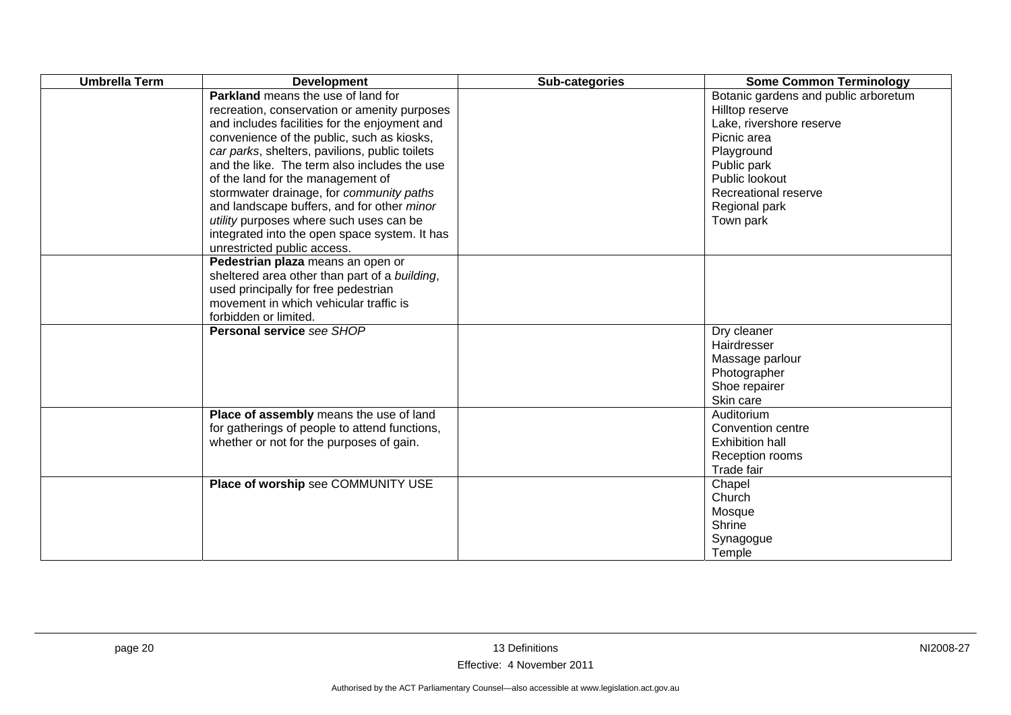| <b>Umbrella Term</b> | <b>Development</b>                                                                                                                                                                                                                                                                                                                                                                                                                                                                                                                                   | Sub-categories | <b>Some Common Terminology</b>                                                                                                                                                                          |
|----------------------|------------------------------------------------------------------------------------------------------------------------------------------------------------------------------------------------------------------------------------------------------------------------------------------------------------------------------------------------------------------------------------------------------------------------------------------------------------------------------------------------------------------------------------------------------|----------------|---------------------------------------------------------------------------------------------------------------------------------------------------------------------------------------------------------|
|                      | <b>Parkland</b> means the use of land for<br>recreation, conservation or amenity purposes<br>and includes facilities for the enjoyment and<br>convenience of the public, such as kiosks,<br>car parks, shelters, pavilions, public toilets<br>and the like. The term also includes the use<br>of the land for the management of<br>stormwater drainage, for community paths<br>and landscape buffers, and for other minor<br>utility purposes where such uses can be<br>integrated into the open space system. It has<br>unrestricted public access. |                | Botanic gardens and public arboretum<br>Hilltop reserve<br>Lake, rivershore reserve<br>Picnic area<br>Playground<br>Public park<br>Public lookout<br>Recreational reserve<br>Regional park<br>Town park |
|                      | Pedestrian plaza means an open or<br>sheltered area other than part of a building,<br>used principally for free pedestrian<br>movement in which vehicular traffic is<br>forbidden or limited.                                                                                                                                                                                                                                                                                                                                                        |                |                                                                                                                                                                                                         |
|                      | <b>Personal service see SHOP</b>                                                                                                                                                                                                                                                                                                                                                                                                                                                                                                                     |                | Dry cleaner<br>Hairdresser<br>Massage parlour<br>Photographer<br>Shoe repairer<br>Skin care                                                                                                             |
|                      | Place of assembly means the use of land<br>for gatherings of people to attend functions,<br>whether or not for the purposes of gain.                                                                                                                                                                                                                                                                                                                                                                                                                 |                | Auditorium<br>Convention centre<br><b>Exhibition hall</b><br>Reception rooms<br>Trade fair                                                                                                              |
|                      | Place of worship see COMMUNITY USE                                                                                                                                                                                                                                                                                                                                                                                                                                                                                                                   |                | Chapel<br>Church<br>Mosque<br>Shrine<br>Synagogue<br>Temple                                                                                                                                             |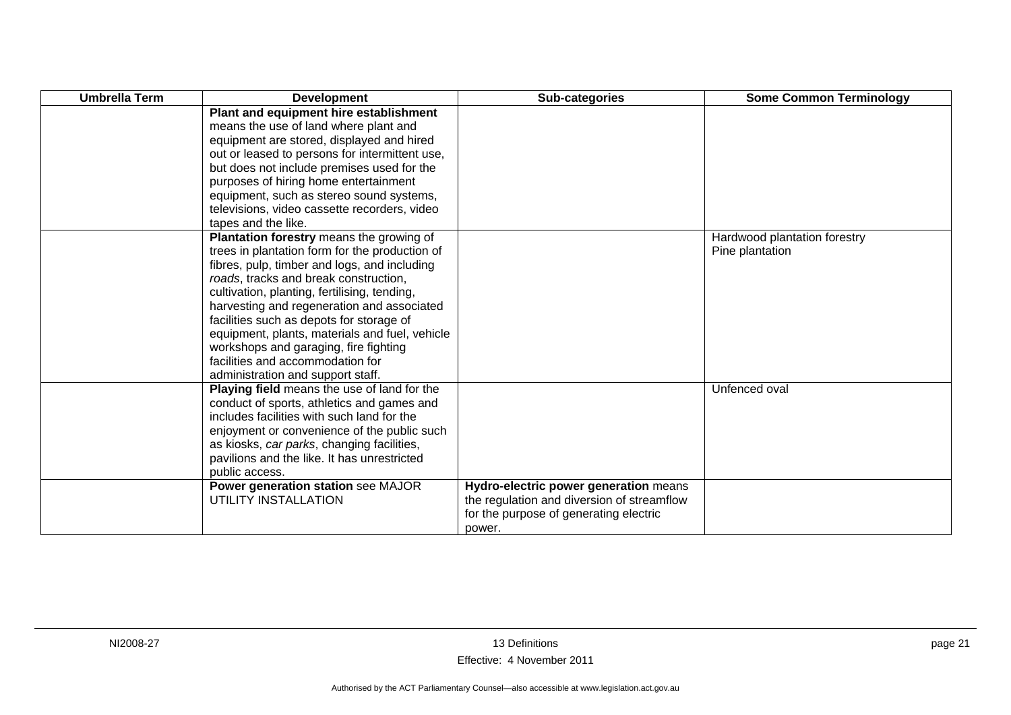| <b>Umbrella Term</b> | <b>Development</b>                             | Sub-categories                             | <b>Some Common Terminology</b> |
|----------------------|------------------------------------------------|--------------------------------------------|--------------------------------|
|                      | Plant and equipment hire establishment         |                                            |                                |
|                      | means the use of land where plant and          |                                            |                                |
|                      | equipment are stored, displayed and hired      |                                            |                                |
|                      | out or leased to persons for intermittent use, |                                            |                                |
|                      | but does not include premises used for the     |                                            |                                |
|                      | purposes of hiring home entertainment          |                                            |                                |
|                      | equipment, such as stereo sound systems,       |                                            |                                |
|                      | televisions, video cassette recorders, video   |                                            |                                |
|                      | tapes and the like.                            |                                            |                                |
|                      | Plantation forestry means the growing of       |                                            | Hardwood plantation forestry   |
|                      | trees in plantation form for the production of |                                            | Pine plantation                |
|                      | fibres, pulp, timber and logs, and including   |                                            |                                |
|                      | roads, tracks and break construction,          |                                            |                                |
|                      | cultivation, planting, fertilising, tending,   |                                            |                                |
|                      | harvesting and regeneration and associated     |                                            |                                |
|                      | facilities such as depots for storage of       |                                            |                                |
|                      | equipment, plants, materials and fuel, vehicle |                                            |                                |
|                      | workshops and garaging, fire fighting          |                                            |                                |
|                      | facilities and accommodation for               |                                            |                                |
|                      | administration and support staff.              |                                            |                                |
|                      | Playing field means the use of land for the    |                                            | Unfenced oval                  |
|                      | conduct of sports, athletics and games and     |                                            |                                |
|                      | includes facilities with such land for the     |                                            |                                |
|                      | enjoyment or convenience of the public such    |                                            |                                |
|                      | as kiosks, car parks, changing facilities,     |                                            |                                |
|                      | pavilions and the like. It has unrestricted    |                                            |                                |
|                      | public access.                                 |                                            |                                |
|                      | Power generation station see MAJOR             | Hydro-electric power generation means      |                                |
|                      | UTILITY INSTALLATION                           | the regulation and diversion of streamflow |                                |
|                      |                                                | for the purpose of generating electric     |                                |
|                      |                                                | power.                                     |                                |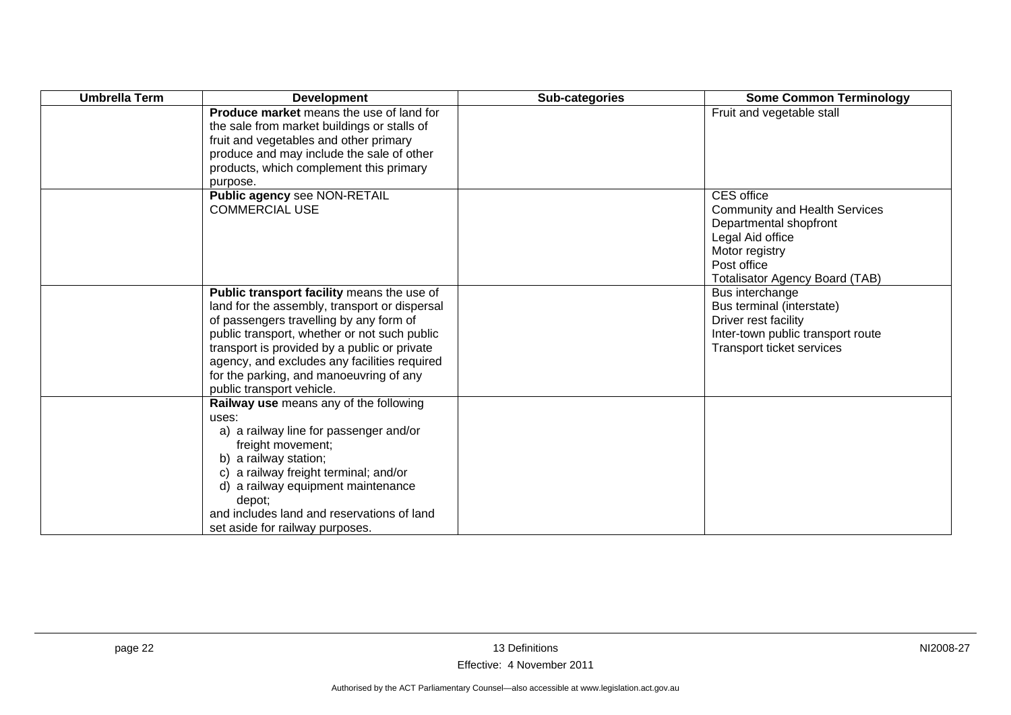| <b>Umbrella Term</b> | <b>Development</b>                                                                                                                                                                                                                                                                                                                                             | Sub-categories | <b>Some Common Terminology</b>                                                                                                                                             |
|----------------------|----------------------------------------------------------------------------------------------------------------------------------------------------------------------------------------------------------------------------------------------------------------------------------------------------------------------------------------------------------------|----------------|----------------------------------------------------------------------------------------------------------------------------------------------------------------------------|
|                      | <b>Produce market</b> means the use of land for<br>the sale from market buildings or stalls of<br>fruit and vegetables and other primary<br>produce and may include the sale of other<br>products, which complement this primary<br>purpose.                                                                                                                   |                | Fruit and vegetable stall                                                                                                                                                  |
|                      | Public agency see NON-RETAIL<br><b>COMMERCIAL USE</b>                                                                                                                                                                                                                                                                                                          |                | CES office<br><b>Community and Health Services</b><br>Departmental shopfront<br>Legal Aid office<br>Motor registry<br>Post office<br><b>Totalisator Agency Board (TAB)</b> |
|                      | Public transport facility means the use of<br>land for the assembly, transport or dispersal<br>of passengers travelling by any form of<br>public transport, whether or not such public<br>transport is provided by a public or private<br>agency, and excludes any facilities required<br>for the parking, and manoeuvring of any<br>public transport vehicle. |                | Bus interchange<br>Bus terminal (interstate)<br>Driver rest facility<br>Inter-town public transport route<br>Transport ticket services                                     |
|                      | Railway use means any of the following<br>uses:<br>a) a railway line for passenger and/or<br>freight movement;<br>b) a railway station;<br>c) a railway freight terminal; and/or<br>d) a railway equipment maintenance<br>depot;<br>and includes land and reservations of land<br>set aside for railway purposes.                                              |                |                                                                                                                                                                            |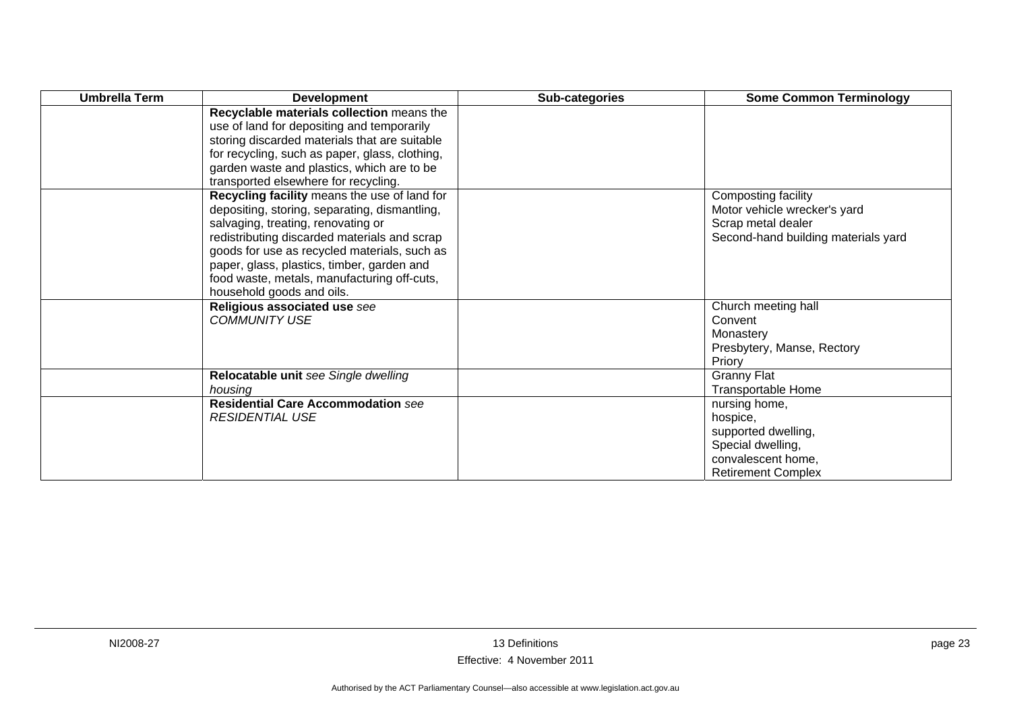| <b>Umbrella Term</b> | <b>Development</b>                                                                                                                                                                                                                                                                                                                                            | Sub-categories | <b>Some Common Terminology</b>                                                                                           |
|----------------------|---------------------------------------------------------------------------------------------------------------------------------------------------------------------------------------------------------------------------------------------------------------------------------------------------------------------------------------------------------------|----------------|--------------------------------------------------------------------------------------------------------------------------|
|                      | Recyclable materials collection means the<br>use of land for depositing and temporarily<br>storing discarded materials that are suitable<br>for recycling, such as paper, glass, clothing,<br>garden waste and plastics, which are to be<br>transported elsewhere for recycling.                                                                              |                |                                                                                                                          |
|                      | Recycling facility means the use of land for<br>depositing, storing, separating, dismantling,<br>salvaging, treating, renovating or<br>redistributing discarded materials and scrap<br>goods for use as recycled materials, such as<br>paper, glass, plastics, timber, garden and<br>food waste, metals, manufacturing off-cuts,<br>household goods and oils. |                | Composting facility<br>Motor vehicle wrecker's yard<br>Scrap metal dealer<br>Second-hand building materials yard         |
|                      | Religious associated use see<br><b>COMMUNITY USE</b>                                                                                                                                                                                                                                                                                                          |                | Church meeting hall<br>Convent<br>Monastery<br>Presbytery, Manse, Rectory<br>Priory                                      |
|                      | Relocatable unit see Single dwelling<br>housing                                                                                                                                                                                                                                                                                                               |                | <b>Granny Flat</b><br>Transportable Home                                                                                 |
|                      | <b>Residential Care Accommodation see</b><br><b>RESIDENTIAL USE</b>                                                                                                                                                                                                                                                                                           |                | nursing home,<br>hospice,<br>supported dwelling,<br>Special dwelling,<br>convalescent home.<br><b>Retirement Complex</b> |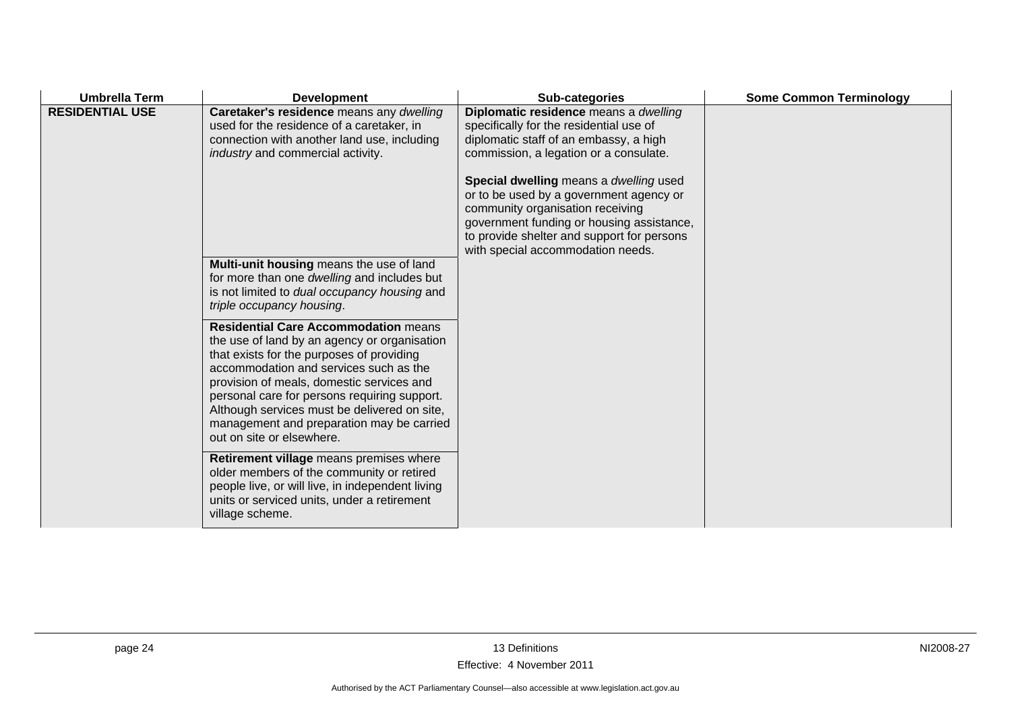| <b>Umbrella Term</b>   | <b>Development</b>                                                                                                                                                                                                                                                                                                                                                                                        | Sub-categories                                                                                                                                                                                                                                        | <b>Some Common Terminology</b> |
|------------------------|-----------------------------------------------------------------------------------------------------------------------------------------------------------------------------------------------------------------------------------------------------------------------------------------------------------------------------------------------------------------------------------------------------------|-------------------------------------------------------------------------------------------------------------------------------------------------------------------------------------------------------------------------------------------------------|--------------------------------|
| <b>RESIDENTIAL USE</b> | Caretaker's residence means any dwelling<br>used for the residence of a caretaker, in<br>connection with another land use, including<br>industry and commercial activity.                                                                                                                                                                                                                                 | Diplomatic residence means a dwelling<br>specifically for the residential use of<br>diplomatic staff of an embassy, a high<br>commission, a legation or a consulate.                                                                                  |                                |
|                        |                                                                                                                                                                                                                                                                                                                                                                                                           | Special dwelling means a dwelling used<br>or to be used by a government agency or<br>community organisation receiving<br>government funding or housing assistance,<br>to provide shelter and support for persons<br>with special accommodation needs. |                                |
|                        | Multi-unit housing means the use of land<br>for more than one dwelling and includes but<br>is not limited to dual occupancy housing and<br>triple occupancy housing.                                                                                                                                                                                                                                      |                                                                                                                                                                                                                                                       |                                |
|                        | <b>Residential Care Accommodation means</b><br>the use of land by an agency or organisation<br>that exists for the purposes of providing<br>accommodation and services such as the<br>provision of meals, domestic services and<br>personal care for persons requiring support.<br>Although services must be delivered on site,<br>management and preparation may be carried<br>out on site or elsewhere. |                                                                                                                                                                                                                                                       |                                |
|                        | Retirement village means premises where<br>older members of the community or retired<br>people live, or will live, in independent living<br>units or serviced units, under a retirement<br>village scheme.                                                                                                                                                                                                |                                                                                                                                                                                                                                                       |                                |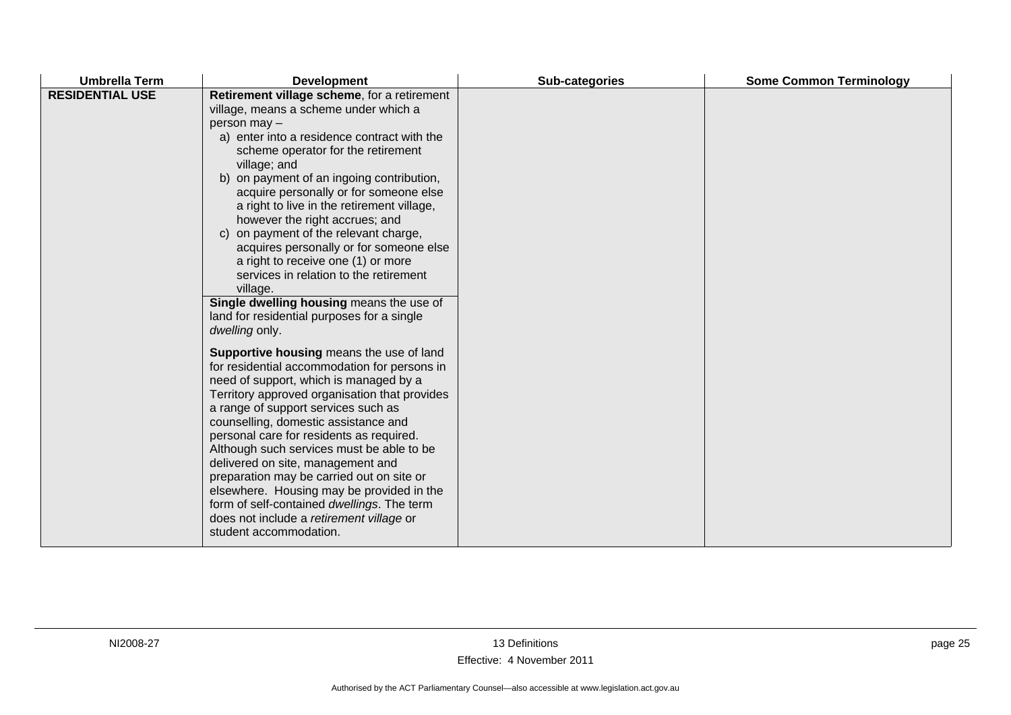| <b>Umbrella Term</b>   | <b>Development</b>                                                                                                                                                                                                                                                                                                                                                                                                                                                                                                                                                                                                                                                                                                                                                                                                                                                                                                                                                                                                                                                                                                            | Sub-categories | <b>Some Common Terminology</b> |
|------------------------|-------------------------------------------------------------------------------------------------------------------------------------------------------------------------------------------------------------------------------------------------------------------------------------------------------------------------------------------------------------------------------------------------------------------------------------------------------------------------------------------------------------------------------------------------------------------------------------------------------------------------------------------------------------------------------------------------------------------------------------------------------------------------------------------------------------------------------------------------------------------------------------------------------------------------------------------------------------------------------------------------------------------------------------------------------------------------------------------------------------------------------|----------------|--------------------------------|
| <b>RESIDENTIAL USE</b> | Retirement village scheme, for a retirement<br>village, means a scheme under which a<br>person may -<br>a) enter into a residence contract with the<br>scheme operator for the retirement<br>village; and<br>b) on payment of an ingoing contribution,<br>acquire personally or for someone else<br>a right to live in the retirement village,<br>however the right accrues; and<br>c) on payment of the relevant charge,<br>acquires personally or for someone else<br>a right to receive one (1) or more<br>services in relation to the retirement<br>village.<br>Single dwelling housing means the use of<br>land for residential purposes for a single<br>dwelling only.<br>Supportive housing means the use of land<br>for residential accommodation for persons in<br>need of support, which is managed by a<br>Territory approved organisation that provides<br>a range of support services such as<br>counselling, domestic assistance and<br>personal care for residents as required.<br>Although such services must be able to be<br>delivered on site, management and<br>preparation may be carried out on site or |                |                                |
|                        | elsewhere. Housing may be provided in the<br>form of self-contained dwellings. The term<br>does not include a retirement village or<br>student accommodation.                                                                                                                                                                                                                                                                                                                                                                                                                                                                                                                                                                                                                                                                                                                                                                                                                                                                                                                                                                 |                |                                |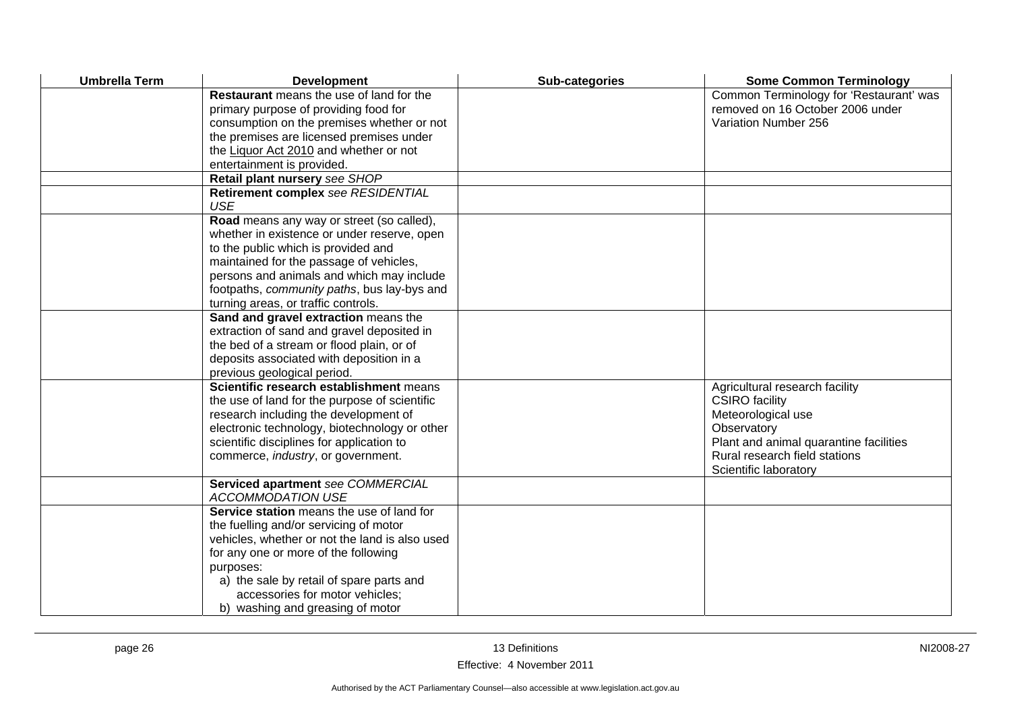| <b>Umbrella Term</b> | <b>Development</b>                                                                                                                                                                                                                                                                                            | Sub-categories | <b>Some Common Terminology</b>                                                                                                                                                                   |
|----------------------|---------------------------------------------------------------------------------------------------------------------------------------------------------------------------------------------------------------------------------------------------------------------------------------------------------------|----------------|--------------------------------------------------------------------------------------------------------------------------------------------------------------------------------------------------|
|                      | <b>Restaurant</b> means the use of land for the<br>primary purpose of providing food for<br>consumption on the premises whether or not<br>the premises are licensed premises under<br>the Liquor Act 2010 and whether or not<br>entertainment is provided.                                                    |                | Common Terminology for 'Restaurant' was<br>removed on 16 October 2006 under<br>Variation Number 256                                                                                              |
|                      | Retail plant nursery see SHOP                                                                                                                                                                                                                                                                                 |                |                                                                                                                                                                                                  |
|                      | Retirement complex see RESIDENTIAL<br><b>USE</b>                                                                                                                                                                                                                                                              |                |                                                                                                                                                                                                  |
|                      | Road means any way or street (so called),<br>whether in existence or under reserve, open<br>to the public which is provided and<br>maintained for the passage of vehicles,<br>persons and animals and which may include<br>footpaths, community paths, bus lay-bys and<br>turning areas, or traffic controls. |                |                                                                                                                                                                                                  |
|                      | Sand and gravel extraction means the<br>extraction of sand and gravel deposited in<br>the bed of a stream or flood plain, or of<br>deposits associated with deposition in a<br>previous geological period.                                                                                                    |                |                                                                                                                                                                                                  |
|                      | Scientific research establishment means<br>the use of land for the purpose of scientific<br>research including the development of<br>electronic technology, biotechnology or other<br>scientific disciplines for application to<br>commerce, industry, or government.                                         |                | Agricultural research facility<br><b>CSIRO</b> facility<br>Meteorological use<br>Observatory<br>Plant and animal quarantine facilities<br>Rural research field stations<br>Scientific laboratory |
|                      | Serviced apartment see COMMERCIAL<br><b>ACCOMMODATION USE</b>                                                                                                                                                                                                                                                 |                |                                                                                                                                                                                                  |
|                      | Service station means the use of land for<br>the fuelling and/or servicing of motor<br>vehicles, whether or not the land is also used<br>for any one or more of the following<br>purposes:<br>a) the sale by retail of spare parts and<br>accessories for motor vehicles;<br>b) washing and greasing of motor |                |                                                                                                                                                                                                  |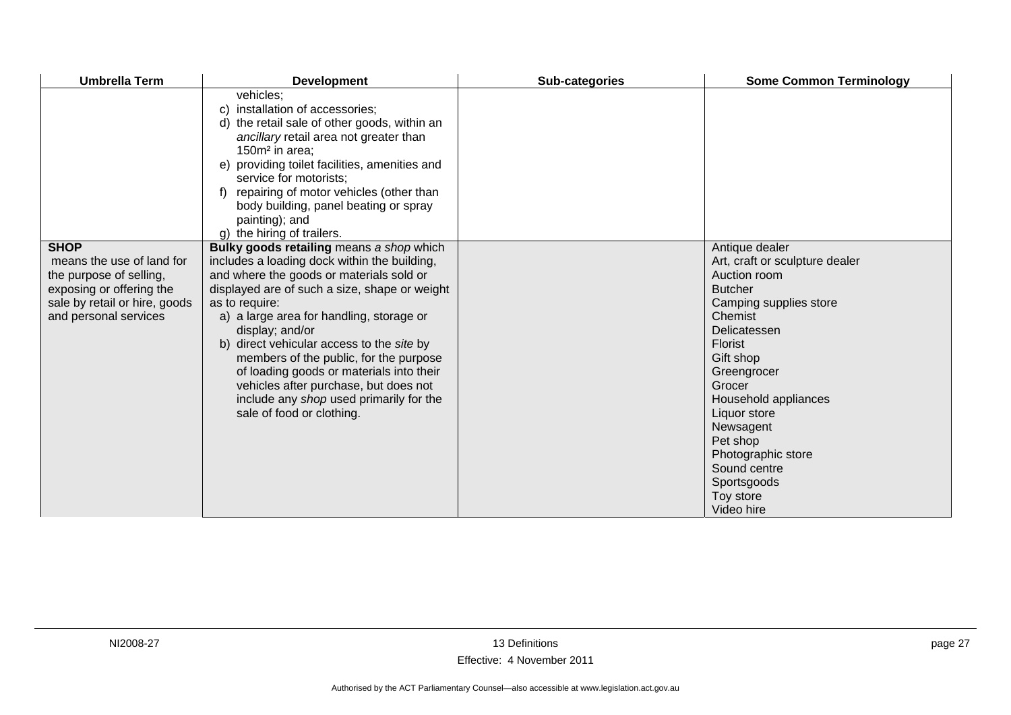| <b>Umbrella Term</b>                                                                                                                                      | <b>Development</b>                                                                                                                                                                                                                                                                                                                                                                                                                                                                                                         | Sub-categories | <b>Some Common Terminology</b>                                                                                                                                                                                                                                                                                                            |
|-----------------------------------------------------------------------------------------------------------------------------------------------------------|----------------------------------------------------------------------------------------------------------------------------------------------------------------------------------------------------------------------------------------------------------------------------------------------------------------------------------------------------------------------------------------------------------------------------------------------------------------------------------------------------------------------------|----------------|-------------------------------------------------------------------------------------------------------------------------------------------------------------------------------------------------------------------------------------------------------------------------------------------------------------------------------------------|
|                                                                                                                                                           | vehicles:<br>c) installation of accessories;<br>d) the retail sale of other goods, within an<br>ancillary retail area not greater than<br>150m <sup>2</sup> in area:<br>e) providing toilet facilities, amenities and<br>service for motorists;<br>f) repairing of motor vehicles (other than<br>body building, panel beating or spray<br>painting); and<br>g) the hiring of trailers.                                                                                                                                     |                |                                                                                                                                                                                                                                                                                                                                           |
| <b>SHOP</b><br>means the use of land for<br>the purpose of selling,<br>exposing or offering the<br>sale by retail or hire, goods<br>and personal services | Bulky goods retailing means a shop which<br>includes a loading dock within the building,<br>and where the goods or materials sold or<br>displayed are of such a size, shape or weight<br>as to require:<br>a) a large area for handling, storage or<br>display; and/or<br>b) direct vehicular access to the site by<br>members of the public, for the purpose<br>of loading goods or materials into their<br>vehicles after purchase, but does not<br>include any shop used primarily for the<br>sale of food or clothing. |                | Antique dealer<br>Art, craft or sculpture dealer<br>Auction room<br><b>Butcher</b><br>Camping supplies store<br>Chemist<br>Delicatessen<br>Florist<br>Gift shop<br>Greengrocer<br>Grocer<br>Household appliances<br>Liquor store<br>Newsagent<br>Pet shop<br>Photographic store<br>Sound centre<br>Sportsgoods<br>Toy store<br>Video hire |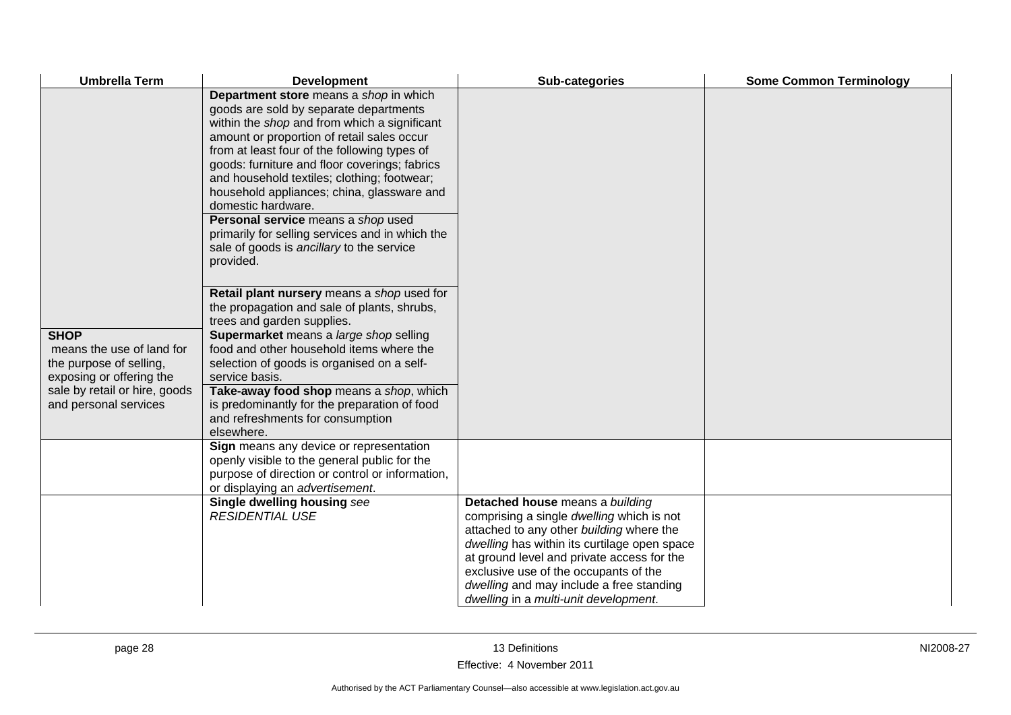| <b>Umbrella Term</b>                                                                                                                                      | <b>Development</b>                                                                                                                                                                                                                                                                                                                                                                                                                                                                                                                                    | Sub-categories                                                                                                                                                                                                                                                                                                                                       | <b>Some Common Terminology</b> |
|-----------------------------------------------------------------------------------------------------------------------------------------------------------|-------------------------------------------------------------------------------------------------------------------------------------------------------------------------------------------------------------------------------------------------------------------------------------------------------------------------------------------------------------------------------------------------------------------------------------------------------------------------------------------------------------------------------------------------------|------------------------------------------------------------------------------------------------------------------------------------------------------------------------------------------------------------------------------------------------------------------------------------------------------------------------------------------------------|--------------------------------|
|                                                                                                                                                           | Department store means a shop in which<br>goods are sold by separate departments<br>within the shop and from which a significant<br>amount or proportion of retail sales occur<br>from at least four of the following types of<br>goods: furniture and floor coverings; fabrics<br>and household textiles; clothing; footwear;<br>household appliances; china, glassware and<br>domestic hardware.<br>Personal service means a shop used<br>primarily for selling services and in which the<br>sale of goods is ancillary to the service<br>provided. |                                                                                                                                                                                                                                                                                                                                                      |                                |
| <b>SHOP</b><br>means the use of land for<br>the purpose of selling,<br>exposing or offering the<br>sale by retail or hire, goods<br>and personal services | Retail plant nursery means a shop used for<br>the propagation and sale of plants, shrubs,<br>trees and garden supplies.<br>Supermarket means a large shop selling<br>food and other household items where the<br>selection of goods is organised on a self-<br>service basis.<br>Take-away food shop means a shop, which<br>is predominantly for the preparation of food<br>and refreshments for consumption<br>elsewhere.                                                                                                                            |                                                                                                                                                                                                                                                                                                                                                      |                                |
|                                                                                                                                                           | Sign means any device or representation<br>openly visible to the general public for the<br>purpose of direction or control or information,<br>or displaying an advertisement.                                                                                                                                                                                                                                                                                                                                                                         |                                                                                                                                                                                                                                                                                                                                                      |                                |
|                                                                                                                                                           | Single dwelling housing see<br><b>RESIDENTIAL USE</b>                                                                                                                                                                                                                                                                                                                                                                                                                                                                                                 | Detached house means a building<br>comprising a single dwelling which is not<br>attached to any other building where the<br>dwelling has within its curtilage open space<br>at ground level and private access for the<br>exclusive use of the occupants of the<br>dwelling and may include a free standing<br>dwelling in a multi-unit development. |                                |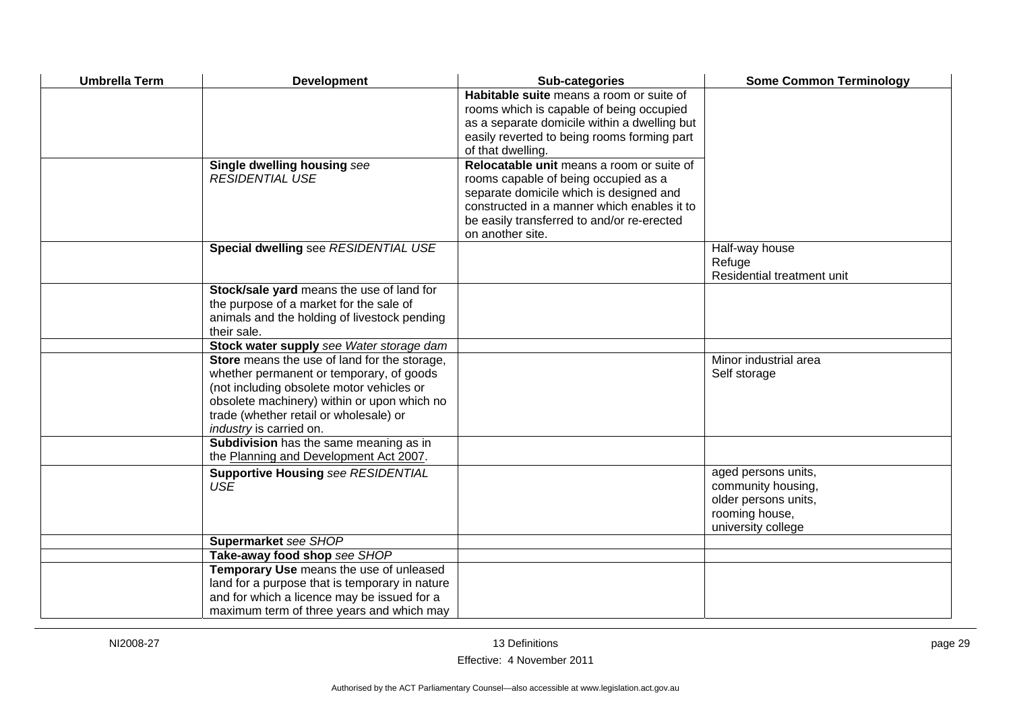| <b>Umbrella Term</b> | <b>Development</b>                                                                                                                                                                                                                                        | Sub-categories                                                                                                                                                                                                                                | <b>Some Common Terminology</b>                                                                            |
|----------------------|-----------------------------------------------------------------------------------------------------------------------------------------------------------------------------------------------------------------------------------------------------------|-----------------------------------------------------------------------------------------------------------------------------------------------------------------------------------------------------------------------------------------------|-----------------------------------------------------------------------------------------------------------|
|                      |                                                                                                                                                                                                                                                           | Habitable suite means a room or suite of<br>rooms which is capable of being occupied<br>as a separate domicile within a dwelling but<br>easily reverted to being rooms forming part<br>of that dwelling.                                      |                                                                                                           |
|                      | Single dwelling housing see<br><b>RESIDENTIAL USE</b>                                                                                                                                                                                                     | Relocatable unit means a room or suite of<br>rooms capable of being occupied as a<br>separate domicile which is designed and<br>constructed in a manner which enables it to<br>be easily transferred to and/or re-erected<br>on another site. |                                                                                                           |
|                      | Special dwelling see RESIDENTIAL USE                                                                                                                                                                                                                      |                                                                                                                                                                                                                                               | Half-way house<br>Refuge<br>Residential treatment unit                                                    |
|                      | Stock/sale yard means the use of land for<br>the purpose of a market for the sale of<br>animals and the holding of livestock pending<br>their sale.                                                                                                       |                                                                                                                                                                                                                                               |                                                                                                           |
|                      | Stock water supply see Water storage dam                                                                                                                                                                                                                  |                                                                                                                                                                                                                                               |                                                                                                           |
|                      | Store means the use of land for the storage,<br>whether permanent or temporary, of goods<br>(not including obsolete motor vehicles or<br>obsolete machinery) within or upon which no<br>trade (whether retail or wholesale) or<br>industry is carried on. |                                                                                                                                                                                                                                               | Minor industrial area<br>Self storage                                                                     |
|                      | Subdivision has the same meaning as in<br>the Planning and Development Act 2007.                                                                                                                                                                          |                                                                                                                                                                                                                                               |                                                                                                           |
|                      | <b>Supportive Housing see RESIDENTIAL</b><br><b>USE</b>                                                                                                                                                                                                   |                                                                                                                                                                                                                                               | aged persons units,<br>community housing,<br>older persons units,<br>rooming house,<br>university college |
|                      | Supermarket see SHOP                                                                                                                                                                                                                                      |                                                                                                                                                                                                                                               |                                                                                                           |
|                      | Take-away food shop see SHOP                                                                                                                                                                                                                              |                                                                                                                                                                                                                                               |                                                                                                           |
|                      | Temporary Use means the use of unleased<br>land for a purpose that is temporary in nature<br>and for which a licence may be issued for a<br>maximum term of three years and which may                                                                     |                                                                                                                                                                                                                                               |                                                                                                           |
|                      |                                                                                                                                                                                                                                                           |                                                                                                                                                                                                                                               |                                                                                                           |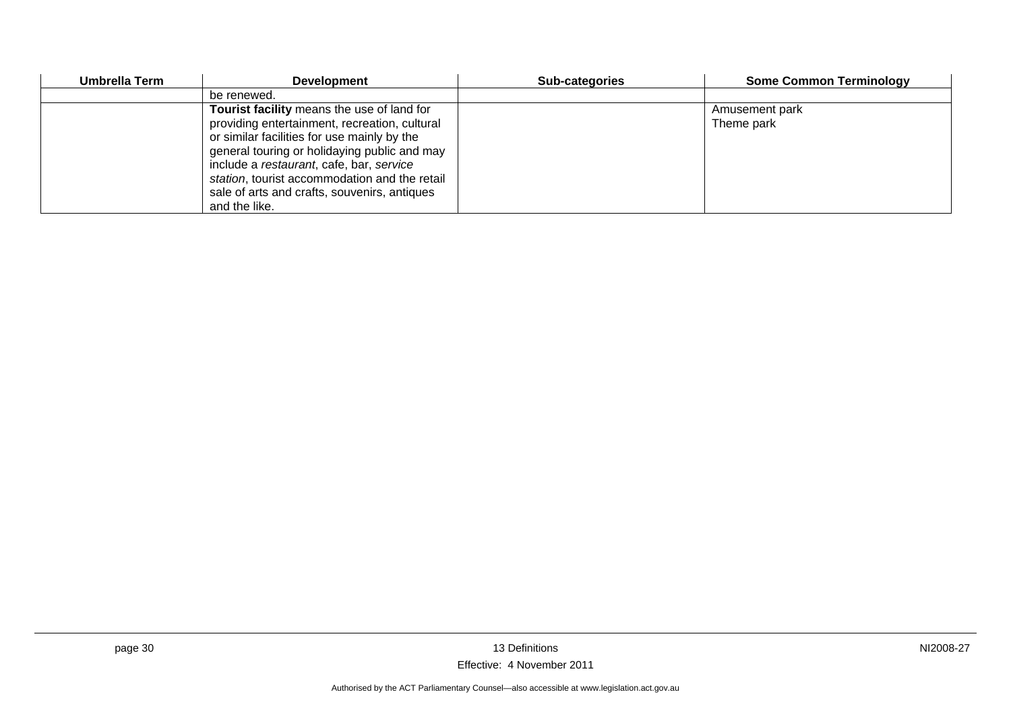| Umbrella Term | <b>Development</b>                            | <b>Sub-categories</b> | <b>Some Common Terminology</b> |
|---------------|-----------------------------------------------|-----------------------|--------------------------------|
|               | be renewed.                                   |                       |                                |
|               | Tourist facility means the use of land for    |                       | Amusement park                 |
|               | providing entertainment, recreation, cultural |                       | Theme park                     |
|               | or similar facilities for use mainly by the   |                       |                                |
|               | general touring or holidaying public and may  |                       |                                |
|               | include a restaurant, cafe, bar, service      |                       |                                |
|               | station, tourist accommodation and the retail |                       |                                |
|               | sale of arts and crafts, souvenirs, antiques  |                       |                                |
|               | and the like.                                 |                       |                                |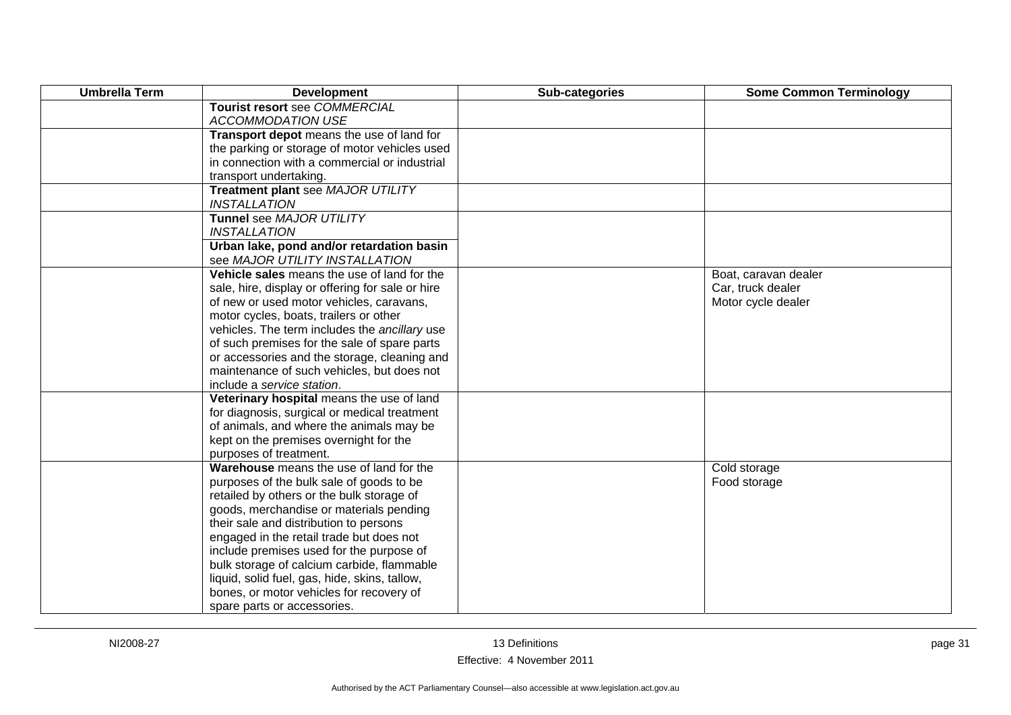| <b>Umbrella Term</b> | <b>Development</b>                                                | Sub-categories | <b>Some Common Terminology</b> |
|----------------------|-------------------------------------------------------------------|----------------|--------------------------------|
|                      | Tourist resort see COMMERCIAL                                     |                |                                |
|                      | <b>ACCOMMODATION USE</b>                                          |                |                                |
|                      | Transport depot means the use of land for                         |                |                                |
|                      | the parking or storage of motor vehicles used                     |                |                                |
|                      | in connection with a commercial or industrial                     |                |                                |
|                      | transport undertaking.                                            |                |                                |
|                      | Treatment plant see MAJOR UTILITY<br><b>INSTALLATION</b>          |                |                                |
|                      | Tunnel see MAJOR UTILITY                                          |                |                                |
|                      | <b>INSTALLATION</b>                                               |                |                                |
|                      | Urban lake, pond and/or retardation basin                         |                |                                |
|                      | see MAJOR UTILITY INSTALLATION                                    |                |                                |
|                      | Vehicle sales means the use of land for the                       |                | Boat, caravan dealer           |
|                      | sale, hire, display or offering for sale or hire                  |                | Car, truck dealer              |
|                      | of new or used motor vehicles, caravans,                          |                | Motor cycle dealer             |
|                      | motor cycles, boats, trailers or other                            |                |                                |
|                      | vehicles. The term includes the ancillary use                     |                |                                |
|                      | of such premises for the sale of spare parts                      |                |                                |
|                      | or accessories and the storage, cleaning and                      |                |                                |
|                      | maintenance of such vehicles, but does not                        |                |                                |
|                      | include a service station.                                        |                |                                |
|                      | Veterinary hospital means the use of land                         |                |                                |
|                      | for diagnosis, surgical or medical treatment                      |                |                                |
|                      | of animals, and where the animals may be                          |                |                                |
|                      | kept on the premises overnight for the                            |                |                                |
|                      | purposes of treatment.<br>Warehouse means the use of land for the |                | Cold storage                   |
|                      | purposes of the bulk sale of goods to be                          |                | Food storage                   |
|                      | retailed by others or the bulk storage of                         |                |                                |
|                      | goods, merchandise or materials pending                           |                |                                |
|                      | their sale and distribution to persons                            |                |                                |
|                      | engaged in the retail trade but does not                          |                |                                |
|                      | include premises used for the purpose of                          |                |                                |
|                      | bulk storage of calcium carbide, flammable                        |                |                                |
|                      | liquid, solid fuel, gas, hide, skins, tallow,                     |                |                                |
|                      | bones, or motor vehicles for recovery of                          |                |                                |
|                      | spare parts or accessories.                                       |                |                                |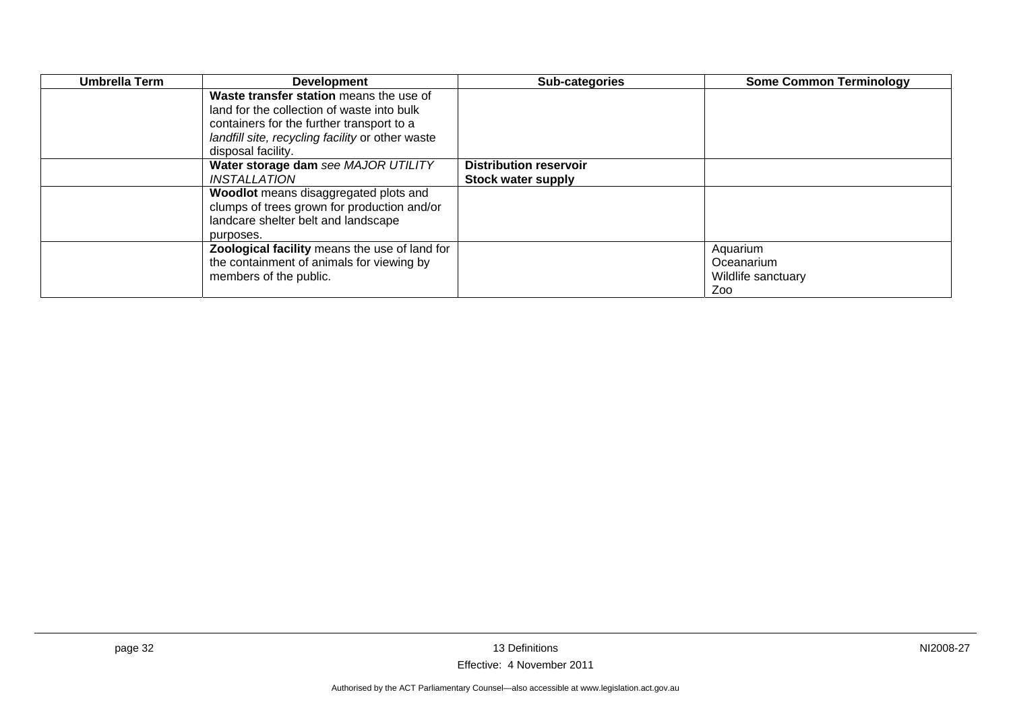| Umbrella Term | <b>Development</b>                               | Sub-categories                | <b>Some Common Terminology</b> |
|---------------|--------------------------------------------------|-------------------------------|--------------------------------|
|               | Waste transfer station means the use of          |                               |                                |
|               | land for the collection of waste into bulk       |                               |                                |
|               | containers for the further transport to a        |                               |                                |
|               | landfill site, recycling facility or other waste |                               |                                |
|               | disposal facility.                               |                               |                                |
|               | Water storage dam see MAJOR UTILITY              | <b>Distribution reservoir</b> |                                |
|               | INSTALLATION                                     | <b>Stock water supply</b>     |                                |
|               | Woodlot means disaggregated plots and            |                               |                                |
|               | clumps of trees grown for production and/or      |                               |                                |
|               | landcare shelter belt and landscape              |                               |                                |
|               | purposes.                                        |                               |                                |
|               | Zoological facility means the use of land for    |                               | Aquarium                       |
|               | the containment of animals for viewing by        |                               | Oceanarium                     |
|               | members of the public.                           |                               | Wildlife sanctuary             |
|               |                                                  |                               | Zoo                            |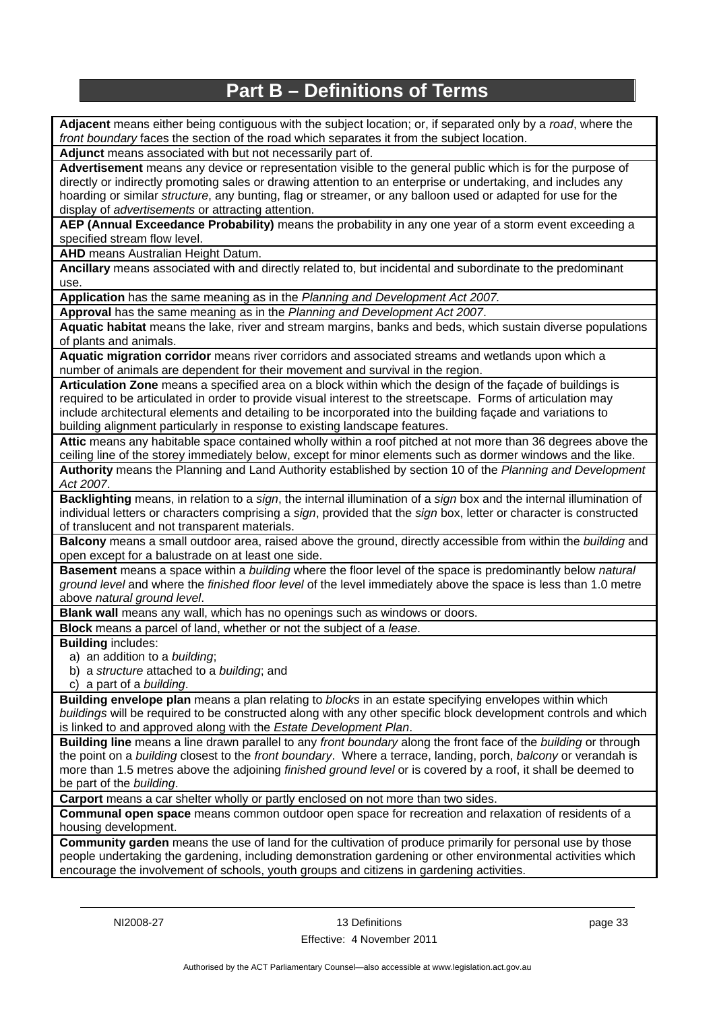## **Part B – Definitions of Terms**

<span id="page-36-0"></span>**Adjacent** means either being contiguous with the subject location; or, if separated only by a *road*, where the *front boundary* faces the section of the road which separates it from the subject location.

**Adjunct** means associated with but not necessarily part of.

**Advertisement** means any device or representation visible to the general public which is for the purpose of directly or indirectly promoting sales or drawing attention to an enterprise or undertaking, and includes any hoarding or similar *structure*, any bunting, flag or streamer, or any balloon used or adapted for use for the display of *advertisements* or attracting attention.

**AEP (Annual Exceedance Probability)** means the probability in any one year of a storm event exceeding a specified stream flow level.

**AHD** means Australian Height Datum.

**Ancillary** means associated with and directly related to, but incidental and subordinate to the predominant use.

**Application** has the same meaning as in the *Planning and Development Act 2007.*

**Approval** has the same meaning as in the *Planning and Development Act 2007*.

**Aquatic habitat** means the lake, river and stream margins, banks and beds, which sustain diverse populations of plants and animals.

**Aquatic migration corridor** means river corridors and associated streams and wetlands upon which a number of animals are dependent for their movement and survival in the region.

**Articulation Zone** means a specified area on a block within which the design of the façade of buildings is required to be articulated in order to provide visual interest to the streetscape. Forms of articulation may include architectural elements and detailing to be incorporated into the building façade and variations to building alignment particularly in response to existing landscape features.

**Attic** means any habitable space contained wholly within a roof pitched at not more than 36 degrees above the ceiling line of the storey immediately below, except for minor elements such as dormer windows and the like.

**Authority** means the Planning and Land Authority established by section 10 of the *Planning and Development Act 2007*.

**Backlighting** means, in relation to a *sign*, the internal illumination of a *sign* box and the internal illumination of individual letters or characters comprising a *sign*, provided that the *sign* box, letter or character is constructed of translucent and not transparent materials.

**Balcony** means a small outdoor area, raised above the ground, directly accessible from within the *building* and open except for a balustrade on at least one side.

**Basement** means a space within a *building* where the floor level of the space is predominantly below *natural ground level* and where the *finished floor level* of the level immediately above the space is less than 1.0 metre above *natural ground level*.

**Blank wall** means any wall, which has no openings such as windows or doors.

**Block** means a parcel of land, whether or not the subject of a *lease*.

**Building** includes:

- a) an addition to a *building*;
- b) a *structure* attached to a *building*; and

c) a part of a *building*.

**Building envelope plan** means a plan relating to *blocks* in an estate specifying envelopes within which *buildings* will be required to be constructed along with any other specific block development controls and which is linked to and approved along with the *Estate Development Plan*.

**Building line** means a line drawn parallel to any *front boundary* along the front face of the *building* or through the point on a *building* closest to the *front boundary*. Where a terrace, landing, porch, *balcony* or verandah is more than 1.5 metres above the adjoining *finished ground level* or is covered by a roof, it shall be deemed to be part of the *building*.

**Carport** means a car shelter wholly or partly enclosed on not more than two sides.

**Communal open space** means common outdoor open space for recreation and relaxation of residents of a housing development.

**Community garden** means the use of land for the cultivation of produce primarily for personal use by those people undertaking the gardening, including demonstration gardening or other environmental activities which encourage the involvement of schools, youth groups and citizens in gardening activities.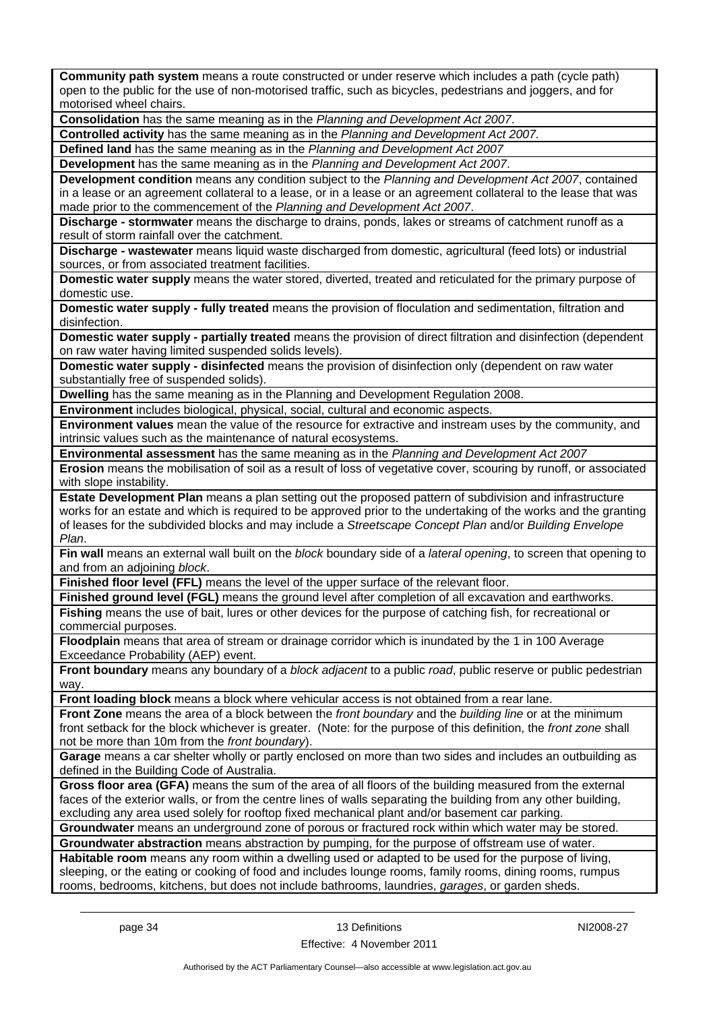**Community path system** means a route constructed or under reserve which includes a path (cycle path) open to the public for the use of non-motorised traffic, such as bicycles, pedestrians and joggers, and for motorised wheel chairs.

**Consolidation** has the same meaning as in the *Planning and Development Act 2007*.

**Controlled activity** has the same meaning as in the *Planning and Development Act 2007.*

**Defined land** has the same meaning as in the *Planning and Development Act 2007*

**Development** has the same meaning as in the *Planning and Development Act 2007*.

**Development condition** means any condition subject to the *Planning and Development Act 2007*, contained in a lease or an agreement collateral to a lease, or in a lease or an agreement collateral to the lease that was made prior to the commencement of the *Planning and Development Act 2007*.

**Discharge - stormwater** means the discharge to drains, ponds, lakes or streams of catchment runoff as a result of storm rainfall over the catchment.

**Discharge - wastewater** means liquid waste discharged from domestic, agricultural (feed lots) or industrial sources, or from associated treatment facilities.

**Domestic water supply** means the water stored, diverted, treated and reticulated for the primary purpose of domestic use.

**Domestic water supply - fully treated** means the provision of floculation and sedimentation, filtration and disinfection.

**Domestic water supply - partially treated** means the provision of direct filtration and disinfection (dependent on raw water having limited suspended solids levels).

**Domestic water supply - disinfected** means the provision of disinfection only (dependent on raw water substantially free of suspended solids).

**Dwelling** has the same meaning as in the Planning and Development Regulation 2008.

**Environment** includes biological, physical, social, cultural and economic aspects.

**Environment values** mean the value of the resource for extractive and instream uses by the community, and intrinsic values such as the maintenance of natural ecosystems.

**Environmental assessment** has the same meaning as in the *Planning and Development Act 2007*

**Erosion** means the mobilisation of soil as a result of loss of vegetative cover, scouring by runoff, or associated with slope instability.

**Estate Development Plan** means a plan setting out the proposed pattern of subdivision and infrastructure works for an estate and which is required to be approved prior to the undertaking of the works and the granting of leases for the subdivided blocks and may include a *Streetscape Concept Plan* and/or *Building Envelope Plan*.

**Fin wall** means an external wall built on the *block* boundary side of a *lateral opening*, to screen that opening to and from an adjoining *block*.

**Finished floor level (FFL)** means the level of the upper surface of the relevant floor.

**Finished ground level (FGL)** means the ground level after completion of all excavation and earthworks. **Fishing** means the use of bait, lures or other devices for the purpose of catching fish, for recreational or commercial purposes.

**Floodplain** means that area of stream or drainage corridor which is inundated by the 1 in 100 Average Exceedance Probability (AEP) event.

**Front boundary** means any boundary of a *block adjacent* to a public *road*, public reserve or public pedestrian way

**Front loading block** means a block where vehicular access is not obtained from a rear lane.

**Front Zone** means the area of a block between the *front boundary* and the *building line* or at the minimum front setback for the block whichever is greater. (Note: for the purpose of this definition, the *front zone* shall not be more than 10m from the *front boundary*).

**Garage** means a car shelter wholly or partly enclosed on more than two sides and includes an outbuilding as defined in the Building Code of Australia.

**Gross floor area (GFA)** means the sum of the area of all floors of the building measured from the external faces of the exterior walls, or from the centre lines of walls separating the building from any other building, excluding any area used solely for rooftop fixed mechanical plant and/or basement car parking.

**Groundwater** means an underground zone of porous or fractured rock within which water may be stored.

**Groundwater abstraction** means abstraction by pumping, for the purpose of offstream use of water.

**Habitable room** means any room within a dwelling used or adapted to be used for the purpose of living, sleeping, or the eating or cooking of food and includes lounge rooms, family rooms, dining rooms, rumpus rooms, bedrooms, kitchens, but does not include bathrooms, laundries, *garages*, or garden sheds.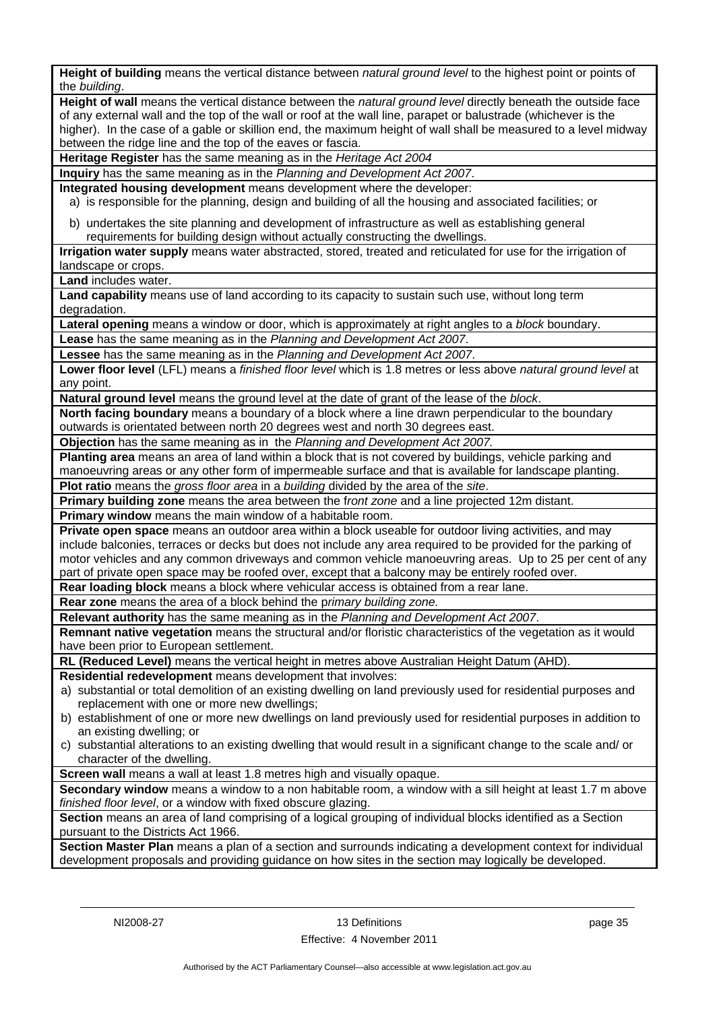**Height of building** means the vertical distance between *natural ground level* to the highest point or points of the *building*. **Height of wall** means the vertical distance between the *natural ground level* directly beneath the outside face of any external wall and the top of the wall or roof at the wall line, parapet or balustrade (whichever is the higher). In the case of a gable or skillion end, the maximum height of wall shall be measured to a level midway between the ridge line and the top of the eaves or fascia. **Heritage Register** has the same meaning as in the *Heritage Act 2004* **Inquiry** has the same meaning as in the *Planning and Development Act 2007*. **Integrated housing development** means development where the developer: a) is responsible for the planning, design and building of all the housing and associated facilities; or b) undertakes the site planning and development of infrastructure as well as establishing general requirements for building design without actually constructing the dwellings. **Irrigation water supply** means water abstracted, stored, treated and reticulated for use for the irrigation of landscape or crops. **Land** includes water. **Land capability** means use of land according to its capacity to sustain such use, without long term degradation. **Lateral opening** means a window or door, which is approximately at right angles to a *block* boundary. **Lease** has the same meaning as in the *Planning and Development Act 2007*. **Lessee** has the same meaning as in the *Planning and Development Act 2007*. **Lower floor level** (LFL) means a *finished floor level* which is 1.8 metres or less above *natural ground level* at any point. **Natural ground level** means the ground level at the date of grant of the lease of the *block*. **North facing boundary** means a boundary of a block where a line drawn perpendicular to the boundary outwards is orientated between north 20 degrees west and north 30 degrees east. **Objection** has the same meaning as in the *Planning and Development Act 2007.* **Planting area** means an area of land within a block that is not covered by buildings, vehicle parking and manoeuvring areas or any other form of impermeable surface and that is available for landscape planting. **Plot ratio** means the *gross floor area* in a *building* divided by the area of the *site*. **Primary building zone** means the area between the f*ront zone* and a line projected 12m distant. **Primary window** means the main window of a habitable room. **Private open space** means an outdoor area within a block useable for outdoor living activities, and may include balconies, terraces or decks but does not include any area required to be provided for the parking of motor vehicles and any common driveways and common vehicle manoeuvring areas. Up to 25 per cent of any part of private open space may be roofed over, except that a balcony may be entirely roofed over. **Rear loading block** means a block where vehicular access is obtained from a rear lane. **Rear zone** means the area of a block behind the p*rimary building zone.* **Relevant authority** has the same meaning as in the *Planning and Development Act 2007*. **Remnant native vegetation** means the structural and/or floristic characteristics of the vegetation as it would have been prior to European settlement. **RL (Reduced Level)** means the vertical height in metres above Australian Height Datum (AHD). **Residential redevelopment** means development that involves: a) substantial or total demolition of an existing dwelling on land previously used for residential purposes and replacement with one or more new dwellings; b) establishment of one or more new dwellings on land previously used for residential purposes in addition to an existing dwelling; or c) substantial alterations to an existing dwelling that would result in a significant change to the scale and/ or character of the dwelling. **Screen wall** means a wall at least 1.8 metres high and visually opaque. **Secondary window** means a window to a non habitable room, a window with a sill height at least 1.7 m above *finished floor level*, or a window with fixed obscure glazing. **Section** means an area of land comprising of a logical grouping of individual blocks identified as a Section pursuant to the Districts Act 1966. **Section Master Plan** means a plan of a section and surrounds indicating a development context for individual development proposals and providing guidance on how sites in the section may logically be developed.